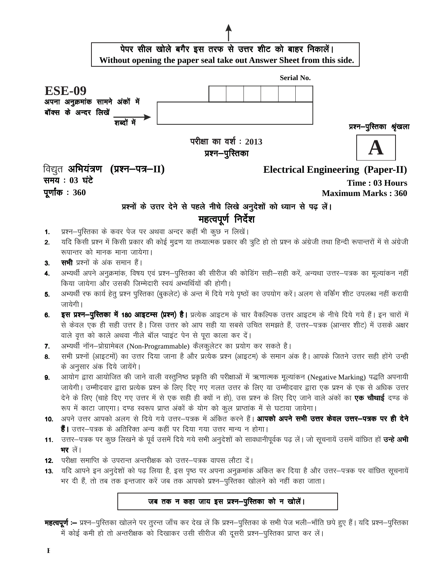

- देने के लिए (चाहे दिए गए उत्तर में से एक सही ही क्यों न हो), उस प्रश्न के लिए दिए जाने वाले अंकों का **एक चौथाई** दण्ड के रूप में काटा जाएगा। दण्ड स्वरूप प्राप्त अंकों के योग को कुल प्राप्तांक में से घटाया जायेगा।
- 10. अपने उत्तर आपको अलग से दिये गये उत्तर-पत्रक में अंकित करने हैं। आपको अपने सभी उत्तर केवल उत्तर-पत्रक पर ही देने हैं। उत्तर-पत्रक के अतिरिक्त अन्य कहीं पर दिया गया उत्तर मान्य न होगा।
- 11. उत्तर–पत्रक पर कुछ लिखने के पूर्व उसमें दिये गये सभी अनुदेशों को सावधानीपूर्वक पढ़ लें। जो सूचनायें उसमें वांछित हों **उन्हे अभी भर** लें।
- 12. परीक्षा समाप्ति के उपरान्त अन्तरीक्षक को उत्तर-पत्रक वापस लौटा दें।
- 13. यदि आपने इन अनुदेशों को पढ़ लिया है, इस पृष्ठ पर अपना अनुक्रमांक अंकित कर दिया है और उत्तर-पत्रक पर वांछित सूचनायें भर दी हैं, तो तब तक इन्तजार करें जब तक आपको प्रश्न-पुस्तिका खोलने को नहीं कहा जाता।

## जब तक न कहा जाय इस प्रश्न-पुस्तिका को न खोलें।

**महत्वपूर्ण :–** प्रश्न–पुरितका खोलने पर तुरन्त जाँच कर देख लें कि प्रश्न–पुरितका के सभी पेज भली–भाँति छपे हुए हैं। यदि प्रश्न–पुरितका में कोई कमी हो तो अन्तरीक्षक को दिखाकर उसी सीरीज की दूसरी प्रश्न-पुस्तिका प्राप्त कर लें।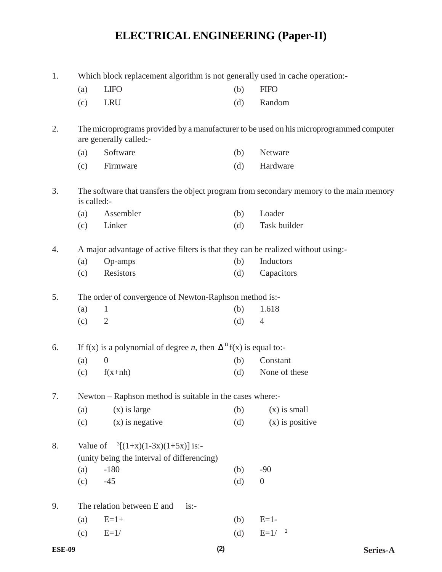## **ELECTRICAL ENGINEERING (Paper-II)**

| 1. | Which block replacement algorithm is not generally used in cache operation:-      |                                                                                              |     |                                                                                         |  |  |  |
|----|-----------------------------------------------------------------------------------|----------------------------------------------------------------------------------------------|-----|-----------------------------------------------------------------------------------------|--|--|--|
|    | (a)                                                                               | <b>LIFO</b>                                                                                  | (b) | <b>FIFO</b>                                                                             |  |  |  |
|    | (c)                                                                               | <b>LRU</b>                                                                                   | (d) | Random                                                                                  |  |  |  |
| 2. |                                                                                   | are generally called:-                                                                       |     | The microprograms provided by a manufacturer to be used on his microprogrammed computer |  |  |  |
|    | (a)                                                                               | Software                                                                                     | (b) | Netware                                                                                 |  |  |  |
|    | (c)                                                                               | Firmware                                                                                     | (d) | Hardware                                                                                |  |  |  |
| 3. | is called:-                                                                       |                                                                                              |     | The software that transfers the object program from secondary memory to the main memory |  |  |  |
|    | (a)                                                                               | Assembler                                                                                    | (b) | Loader                                                                                  |  |  |  |
|    | (c)                                                                               | Linker                                                                                       | (d) | Task builder                                                                            |  |  |  |
| 4. |                                                                                   | A major advantage of active filters is that they can be realized without using:-             |     |                                                                                         |  |  |  |
|    | (a)                                                                               | Op-amps                                                                                      | (b) | Inductors                                                                               |  |  |  |
|    | (c)                                                                               | Resistors                                                                                    | (d) | Capacitors                                                                              |  |  |  |
| 5. |                                                                                   | The order of convergence of Newton-Raphson method is:-                                       |     |                                                                                         |  |  |  |
|    | (a)                                                                               | $\mathbf{1}$                                                                                 | (b) | 1.618                                                                                   |  |  |  |
|    | (c)                                                                               | $\overline{2}$                                                                               | (d) | 4                                                                                       |  |  |  |
| 6. | If f(x) is a polynomial of degree <i>n</i> , then $\Delta^{n}$ f(x) is equal to:- |                                                                                              |     |                                                                                         |  |  |  |
|    | (a)                                                                               | $\overline{0}$                                                                               | (b) | Constant                                                                                |  |  |  |
|    | (c)                                                                               | $f(x+nh)$                                                                                    | (d) | None of these                                                                           |  |  |  |
| 7. |                                                                                   | Newton – Raphson method is suitable in the cases where:-                                     |     |                                                                                         |  |  |  |
|    | (a)                                                                               | $(x)$ is large                                                                               | (b) | $(x)$ is small                                                                          |  |  |  |
|    | (c)                                                                               | $(x)$ is negative                                                                            | (d) | $(x)$ is positive                                                                       |  |  |  |
| 8. |                                                                                   | Value of $\frac{3[(1+x)(1-3x)(1+5x)]}{3}$ is:-<br>(unity being the interval of differencing) |     |                                                                                         |  |  |  |
|    | (a)                                                                               | $-180$                                                                                       | (b) | $-90$                                                                                   |  |  |  |
|    | (c)                                                                               | $-45$                                                                                        | (d) | $\boldsymbol{0}$                                                                        |  |  |  |
| 9. |                                                                                   | The relation between E and<br>$is:-$                                                         |     |                                                                                         |  |  |  |
|    | (a)                                                                               | $E=1+$                                                                                       | (b) | $E=1-$                                                                                  |  |  |  |
|    | (c)                                                                               | $E=1/$                                                                                       | (d) | $E=1/$<br>$\overline{c}$                                                                |  |  |  |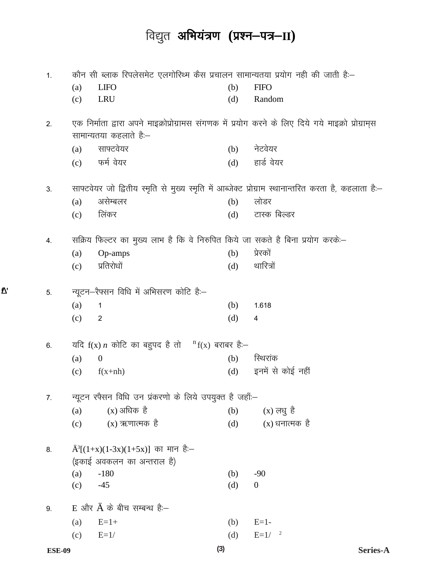## विद्युत अभियंत्रण (प्रश्न-पत्र-II)

| 1. | कौन सी ब्लाक रिपलेसमेट एलगोरिथ्म कैस प्रचालन सामान्यतया प्रयोग नही की जाती है:– |                                                                                                                                |     |                                                                                                       |
|----|---------------------------------------------------------------------------------|--------------------------------------------------------------------------------------------------------------------------------|-----|-------------------------------------------------------------------------------------------------------|
|    | (a)                                                                             | <b>LIFO</b>                                                                                                                    | (b) | <b>FIFO</b>                                                                                           |
|    | (c)                                                                             | <b>LRU</b>                                                                                                                     | (d) | Random                                                                                                |
| 2. |                                                                                 | एक निर्माता द्वारा अपने माइक्रोप्रोग्रामस संगणक में प्रयोग करने के लिए दिये गये माइक्रो प्रोग्रामुस<br>सामान्यतया कहलाते हैं:– |     |                                                                                                       |
|    | (a)                                                                             | साफ्टवेयर                                                                                                                      | (b) | नेटवेयर                                                                                               |
|    |                                                                                 | (c) फर्म वेयर                                                                                                                  | (d) | हार्ड वेयर                                                                                            |
| 3. |                                                                                 |                                                                                                                                |     | साफ्टवेयर जो द्वितीय स्मृति से मुख्य स्मृति में आब्जेक्ट प्रोग्राम स्थानान्तरित करता है, कहलाता हैं:- |
|    | (a)                                                                             | असेम्बलर                                                                                                                       | (b) | लोडर                                                                                                  |
|    | (c)                                                                             | लिंकर                                                                                                                          | (d) | टास्क बिल्डर                                                                                          |
| 4. |                                                                                 | सक्रिय फिल्टर का मुख्य लाभ है कि वे निरुपित किये जा सकते है बिना प्रयोग करकें:-                                                |     |                                                                                                       |
|    | (a)                                                                             | Op-amps                                                                                                                        | (b) | प्रेरकों                                                                                              |
|    | (c)                                                                             | प्रतिरोधों                                                                                                                     | (d) | थारित्रों                                                                                             |
| 5. |                                                                                 | न्यूटन-रैफ्सन विधि में अभिसरण कोटि हैं:-                                                                                       |     |                                                                                                       |
|    | (a)                                                                             | $\mathbf{1}$                                                                                                                   | (b) | 1.618                                                                                                 |
|    | (c)                                                                             | $\overline{2}$                                                                                                                 | (d) | 4                                                                                                     |
| 6. |                                                                                 | यदि $f(x)$ <i>n</i> कोटि का बहुपद है तो ${}^{n}f(x)$ बराबर हैं:-                                                               |     |                                                                                                       |
|    | (a)                                                                             | $\boldsymbol{0}$                                                                                                               | (b) | स्थिरांक                                                                                              |
|    | (c)                                                                             | $f(x+nh)$                                                                                                                      | (d) | इनमें से कोई नहीं                                                                                     |
| 7. |                                                                                 | न्यूटन रफैसन विधि उन प्रकरणो के लिये उपयुक्त है जहाँ:-                                                                         |     |                                                                                                       |
|    | (a)                                                                             | $(x)$ अधिक है                                                                                                                  | (b) | $(x)$ लधु है                                                                                          |
|    | (c)                                                                             | $(x)$ ऋणात्मक है                                                                                                               | (d) | $(x)$ धनात्मक) है                                                                                     |
| 8. |                                                                                 | $\ddot{A}^3[(1+x)(1-3x)(1+5x)]$ का मान हैं.—                                                                                   |     |                                                                                                       |
|    |                                                                                 | (इकाई अवकलन का अन्तराल है)                                                                                                     |     |                                                                                                       |
|    | (a)                                                                             | $-180$                                                                                                                         | (b) | $-90$                                                                                                 |
|    | (c)                                                                             | $-45$                                                                                                                          | (d) | $\overline{0}$                                                                                        |
| 9. |                                                                                 | E और $\ddot{A}$ के बीच सम्बन्ध हैं.–                                                                                           |     |                                                                                                       |
|    | (a)                                                                             | $E=1+$                                                                                                                         | (b) | $E=1-$                                                                                                |
|    | (c)                                                                             | $E=1/$                                                                                                                         | (d) | $E=1/2$                                                                                               |

 $\overline{\mathbf{V}}$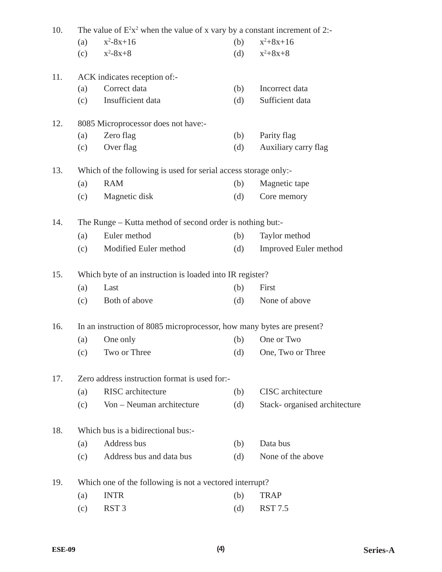| 10. | The value of $E^2x^2$ when the value of x vary by a constant increment of 2:- |                                                                 |     |                               |  |  |  |  |
|-----|-------------------------------------------------------------------------------|-----------------------------------------------------------------|-----|-------------------------------|--|--|--|--|
|     | (a)                                                                           | $x^2-8x+16$                                                     | (b) | $x^2+8x+16$                   |  |  |  |  |
|     | (c)                                                                           | $x^2-8x+8$                                                      | (d) | $x^2+8x+8$                    |  |  |  |  |
| 11. |                                                                               | ACK indicates reception of:-                                    |     |                               |  |  |  |  |
|     | (a)                                                                           | Correct data                                                    | (b) | Incorrect data                |  |  |  |  |
|     | (c)                                                                           | Insufficient data                                               | (d) | Sufficient data               |  |  |  |  |
| 12. |                                                                               | 8085 Microprocessor does not have:-                             |     |                               |  |  |  |  |
|     | (a)                                                                           | Zero flag                                                       | (b) | Parity flag                   |  |  |  |  |
|     | (c)                                                                           | Over flag                                                       | (d) | Auxiliary carry flag          |  |  |  |  |
| 13. |                                                                               | Which of the following is used for serial access storage only:- |     |                               |  |  |  |  |
|     | (a)                                                                           | <b>RAM</b>                                                      | (b) | Magnetic tape                 |  |  |  |  |
|     | (c)                                                                           | Magnetic disk                                                   | (d) | Core memory                   |  |  |  |  |
| 14. |                                                                               | The Runge – Kutta method of second order is nothing but:-       |     |                               |  |  |  |  |
|     | (a)                                                                           | Euler method                                                    | (b) | Taylor method                 |  |  |  |  |
|     | (c)                                                                           | Modified Euler method                                           | (d) | Improved Euler method         |  |  |  |  |
| 15. |                                                                               | Which byte of an instruction is loaded into IR register?        |     |                               |  |  |  |  |
|     | (a)                                                                           | Last                                                            | (b) | First                         |  |  |  |  |
|     | (c)                                                                           | Both of above                                                   | (d) | None of above                 |  |  |  |  |
| 16. | In an instruction of 8085 microprocessor, how many bytes are present?         |                                                                 |     |                               |  |  |  |  |
|     | (a)                                                                           | One only                                                        | (b) | One or Two                    |  |  |  |  |
|     | (c)                                                                           | Two or Three                                                    | (d) | One, Two or Three             |  |  |  |  |
| 17. |                                                                               | Zero address instruction format is used for:-                   |     |                               |  |  |  |  |
|     | (a)                                                                           | <b>RISC</b> architecture                                        | (b) | <b>CISC</b> architecture      |  |  |  |  |
|     | (c)                                                                           | Von - Neuman architecture                                       | (d) | Stack- organised architecture |  |  |  |  |
| 18. |                                                                               | Which bus is a bidirectional bus:-                              |     |                               |  |  |  |  |
|     | (a)                                                                           | Address bus                                                     | (b) | Data bus                      |  |  |  |  |
|     | (c)                                                                           | Address bus and data bus                                        | (d) | None of the above             |  |  |  |  |
| 19. |                                                                               | Which one of the following is not a vectored interrupt?         |     |                               |  |  |  |  |
|     | (a)                                                                           | <b>INTR</b>                                                     | (b) | <b>TRAP</b>                   |  |  |  |  |
|     | (c)                                                                           | RST <sub>3</sub>                                                | (d) | <b>RST 7.5</b>                |  |  |  |  |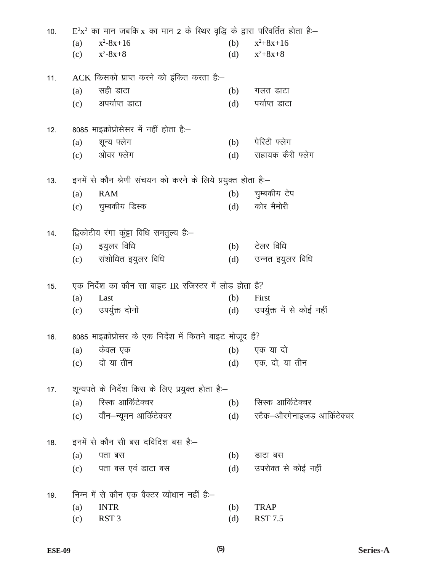| 10. | $E^{2}x^{2}$ का मान जबकि x का मान 2 के स्थिर वृद्धि के द्वारा परिवर्तित होता है:- |                                                              |            |                                    |  |  |  |
|-----|-----------------------------------------------------------------------------------|--------------------------------------------------------------|------------|------------------------------------|--|--|--|
|     | (a)                                                                               | $x^2-8x+16$                                                  | (b)        | $x^2+8x+16$                        |  |  |  |
|     |                                                                                   | (c) $x^2-8x+8$                                               | (d)        | $x^2+8x+8$                         |  |  |  |
| 11. |                                                                                   | ACK किसको प्राप्त करने को इंकित करता है:-                    |            |                                    |  |  |  |
|     | (a)                                                                               | सही डाटा                                                     | (b)        | गलत डाटा                           |  |  |  |
|     |                                                                                   | $(c)$ अपर्याप्त डाटा                                         | (d)        | पर्याप्त डाटा                      |  |  |  |
| 12. |                                                                                   | 8085 माइक्रोप्रोसेसर में नहीं होता है:–                      |            |                                    |  |  |  |
|     | (a)                                                                               | शून्य फ्लेग                                                  | (b)        | पेरिटी फ्लेग                       |  |  |  |
|     |                                                                                   | (c) ओवर फ्लेग                                                | (d)        | सहायक कैरी फ्लेग                   |  |  |  |
| 13. |                                                                                   | इनमें से कौन श्रेणी संचयन को करने के लिये प्रयुक्त होता है:– |            |                                    |  |  |  |
|     | (a)                                                                               | <b>RAM</b>                                                   | (b)        | चुम्बकीय टेप                       |  |  |  |
|     |                                                                                   | (c) चुम्बकीय डिस्क                                           | (d)        | कोर मैमोरी                         |  |  |  |
| 14. |                                                                                   | द्विकोटीय रंगा कुंड्टा विधि समतुल्य हैं:-                    |            |                                    |  |  |  |
|     |                                                                                   | (a) इयुलर विधि                                               |            | $(b)$ टेलर विधि                    |  |  |  |
|     |                                                                                   | (c) संशोधित इयुलर विधि                                       | (d)        | उन्नत इयुलर विधि                   |  |  |  |
|     |                                                                                   |                                                              |            |                                    |  |  |  |
| 15. |                                                                                   | एक निर्देश का कौन सा बाइट IR रजिस्टर में लोड होता है?        |            |                                    |  |  |  |
|     | (a)                                                                               | Last<br>(c) उपर्युक्त दोनों                                  | (b)<br>(d) | First<br>उपर्युक्त में से कोई नहीं |  |  |  |
|     |                                                                                   |                                                              |            |                                    |  |  |  |
| 16. |                                                                                   | 8085 माइक्रोप्रोसर के एक निर्देश में कितने बाइट मोजूद हैं?   |            |                                    |  |  |  |
|     | (a)                                                                               | केवल एक                                                      | (b)        | एक या दो                           |  |  |  |
|     | (c)                                                                               | दो या तीन                                                    | (d)        | एक, दो, या तीन                     |  |  |  |
| 17. |                                                                                   | शून्यपते के निर्देश किस के लिए प्रयुक्त होता है:–            |            |                                    |  |  |  |
|     | (a)                                                                               | रिस्क आर्किटेक्चर                                            | (b)        | सिस्क आर्किटेक्चर                  |  |  |  |
|     | (c)                                                                               | वॉन–न्यूमन आर्किटेक्चर                                       | (d)        | स्टैक–औरगेनाइजड आर्किटेक्चर        |  |  |  |
| 18. |                                                                                   | इनमें से कौन सी बस दविदिश बस है:–                            |            |                                    |  |  |  |
|     | (a)                                                                               | पता बस                                                       | (b)        | डाटा बस                            |  |  |  |
|     | (c)                                                                               | पता बस एवं डाटा बस                                           | (d)        | उपरोक्त से कोई नहीं                |  |  |  |
| 19. |                                                                                   | निम्न में से कौन एक वैक्टर व्योधान नहीं है:–                 |            |                                    |  |  |  |
|     | (a)                                                                               | <b>INTR</b>                                                  | (b)        | <b>TRAP</b>                        |  |  |  |
|     | (c)                                                                               | RST <sub>3</sub>                                             | (d)        | <b>RST 7.5</b>                     |  |  |  |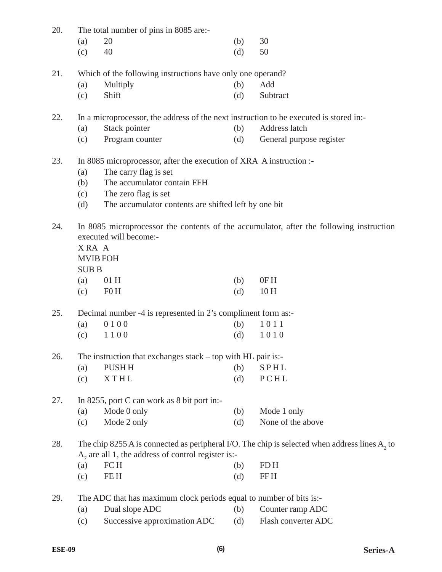| 20. | The total number of pins in 8085 are:- |  |  |  |  |  |  |  |
|-----|----------------------------------------|--|--|--|--|--|--|--|
|-----|----------------------------------------|--|--|--|--|--|--|--|

| (a) $20$ | (b) $30$ |  |
|----------|----------|--|
| (c) $40$ | (d) $50$ |  |

21. Which of the following instructions have only one operand?

- (a) Multiply (b) Add
- (c) Shift (d) Subtract

22. In a microprocessor, the address of the next instruction to be executed is stored in:-

- (a) Stack pointer (b) Address latch
	- (c) Program counter (d) General purpose register
- 23. In 8085 microprocessor, after the execution of XRA A instruction :-
	- (a) The carry flag is set
	- (b) The accumulator contain FFH
	- (c) The zero flag is set
	- (d) The accumulator contents are shifted left by one bit
- 24. In 8085 microprocessor the contents of the accumulator, after the following instruction executed will become:-

X RA A

MVIB FOH

| 9<br>JJB. |
|-----------|
|-----------|

| ם מרש |                      |            |
|-------|----------------------|------------|
|       | (a) $01H$            | $(b)$ OF H |
|       | $\text{F}$ (c) F 0 H | (d) $10H$  |

25. Decimal number -4 is represented in 2's compliment form as:-

| (a) $0100$ | (b) $1011$ |
|------------|------------|
| (c) $1100$ | (d) $1010$ |

26. The instruction that exchanges stack – top with HL pair is:-

| (a) | PUSH H      | (b) | SPHL |
|-----|-------------|-----|------|
| (c) | <b>XTHL</b> | (d) | PCHL |

- 27. In 8255, port C can work as 8 bit port in:-
	- (a) Mode 0 only (b) Mode 1 only (c) Mode 2 only (d) None of the above

28. The chip 8255 A is connected as peripheral I/O. The chip is selected when address lines  $A_2$  to  $A_7$  are all 1, the address of control register is:-

| $(a)$ FCH         | $(b)$ FDH |
|-------------------|-----------|
| $\mathbf{F}$ EE H | $(d)$ FFH |

29. The ADC that has maximum clock periods equal to number of bits is:-

- (a) Dual slope ADC (b) Counter ramp ADC
- (c) Successive approximation ADC (d) Flash converter ADC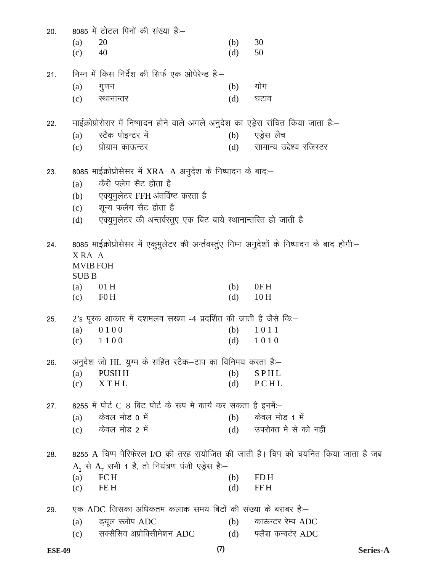| 20. |                            | 8085 में टोटल पिनों की संख्या है:–                                                          |            |                                                                                   |
|-----|----------------------------|---------------------------------------------------------------------------------------------|------------|-----------------------------------------------------------------------------------|
|     | (a)                        | 20                                                                                          | (b)        | 30                                                                                |
|     | (c)                        | 40                                                                                          | (d)        | 50                                                                                |
| 21. |                            | निम्न में किस निर्देश की सिर्फ एक ओपेरेन्ड हैं:–                                            |            |                                                                                   |
|     | (a)                        | गुणन                                                                                        | (b)        | योग                                                                               |
|     | (c)                        | स्थानान्तर                                                                                  | (d)        | घटाव                                                                              |
|     |                            |                                                                                             |            |                                                                                   |
| 22. |                            | माईक्रोप्रोसेसर में निष्पादन होने वाले अगले अनुदेश का एड्रेस संचित किया जाता है:–           |            |                                                                                   |
|     | (a)                        | स्टैक पोइन्टर में                                                                           | (b)        | एड्रेस लैच                                                                        |
|     | (c)                        | प्रोग्राम काऊन्टर                                                                           | (d)        | सामान्य उद्देश्य रजिस्टर                                                          |
| 23. |                            | 8085 माईक्रोप्रोसेसर में XRA A अनुदेश के निष्पादन के बाद:-                                  |            |                                                                                   |
|     | (a)                        | केरी फ्लेग सैट होता है                                                                      |            |                                                                                   |
|     | (b)                        | एक्युमुलेटर FFH अंतर्विष्ट करता है                                                          |            |                                                                                   |
|     | (c)                        | शून्य फलैग सैट होता है                                                                      |            |                                                                                   |
|     | (d)                        | एक्युमुलेटर की अन्तर्वस्तुए एक बिट बाये स्थानान्तरित हो जाती है                             |            |                                                                                   |
|     |                            |                                                                                             |            |                                                                                   |
| 24. |                            | 8085 माईक्रोप्रोसेसर में एकुमुलेटर की अर्न्तवस्तुए निम्न अनुदेशों के निष्पादन के बाद होगी:— |            |                                                                                   |
|     | XRA A                      |                                                                                             |            |                                                                                   |
|     | <b>MVIB FOH</b>            |                                                                                             |            |                                                                                   |
|     | <b>SUBB</b>                |                                                                                             |            |                                                                                   |
|     | (a)<br>$\text{F}$ (c) F0 H | 01H                                                                                         | (b)<br>(d) | 0FH<br>10H                                                                        |
|     |                            |                                                                                             |            |                                                                                   |
| 25. |                            | 2's पूरक आकार में दशमलव सख्या -4 प्रदर्शित की जाती है जैसे कि:-                             |            |                                                                                   |
|     | (a)                        | 0100                                                                                        | (b)        | 1011                                                                              |
|     | (c)                        | 1100                                                                                        | (d)        | 1010                                                                              |
| 26. |                            | अनुदेश जो HL युग्म के सहित स्टैक–टाप का विनिमय करता है:–                                    |            |                                                                                   |
|     | (a)                        | PUSH H                                                                                      | (b)        | <b>SPHL</b>                                                                       |
|     | (c)                        | <b>XTHL</b>                                                                                 | (d)        | PCHL                                                                              |
| 27. |                            | 8255 में पोर्ट C 8 बिट पोर्ट के रूप मे कार्य कर सकता है इनमें:-                             |            |                                                                                   |
|     | (a)                        | केवल मोड 0 में                                                                              | (b)        | केवल मोड 1 में                                                                    |
|     | (c)                        | केवल मोड 2 में                                                                              | (d)        | उपरोक्त मे से को नहीं                                                             |
|     |                            |                                                                                             |            |                                                                                   |
| 28. |                            |                                                                                             |            | 8255 A चिप्प पेरिफेरल I/O की तरह संयोजित की जाती है। चिप को चयनित किया जाता है जब |
|     |                            | A, से A, सभी 1 है, तो नियंत्रण पंजी एड्रेस हैं:-                                            |            |                                                                                   |
|     | (a)                        | FC H                                                                                        | (b)        | FD <sub>H</sub>                                                                   |
|     | (c)                        | FE H                                                                                        | (d)        | <b>FFH</b>                                                                        |
| 29. |                            | एक ADC जिसका अधिकतम कलाक समय बिटों की संख्या के बराबर हैं:–                                 |            |                                                                                   |
|     | (a)                        | ड्यूल स्लोप ADC                                                                             | (b)        | काऊन्टर रेम्प ADC                                                                 |
|     | (c)                        | सक्सैसिव अप्रोक्सीिमेशन ADC                                                                 |            | (d) फ्लैश कन्वर्टर ADC                                                            |

Series-A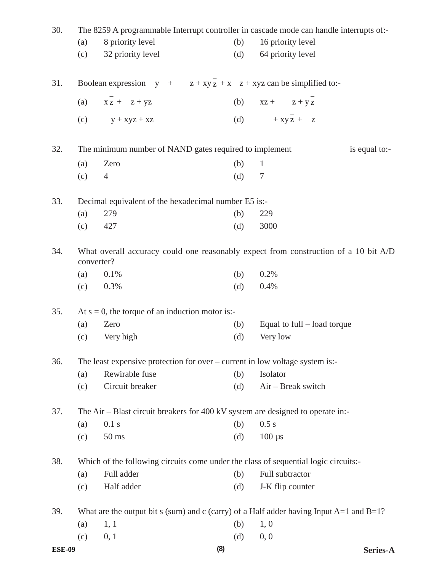| 30.           |     |                                                                              |     | The 8259 A programmable Interrupt controller in cascade mode can handle interrupts of:-      |
|---------------|-----|------------------------------------------------------------------------------|-----|----------------------------------------------------------------------------------------------|
|               | (a) | 8 priority level                                                             | (b) | 16 priority level                                                                            |
|               | (c) | 32 priority level                                                            | (d) | 64 priority level                                                                            |
| 31.           |     | Boolean expression $y + z + xyz + x + xyz$ can be simplified to:-            |     |                                                                                              |
|               | (a) | $XZ + Z + yZ$                                                                | (b) | $XZ + Z + YZ$                                                                                |
|               | (c) | $y + xyz + xz$                                                               | (d) | $+ xy\overline{z} + z$                                                                       |
| 32.           |     | The minimum number of NAND gates required to implement                       |     | is equal to:-                                                                                |
|               | (a) | Zero                                                                         | (b) | $\mathbf{1}$                                                                                 |
|               | (c) | $\overline{4}$                                                               | (d) | 7                                                                                            |
| 33.           |     | Decimal equivalent of the hexadecimal number E5 is:-                         |     |                                                                                              |
|               | (a) | 279                                                                          | (b) | 229                                                                                          |
|               | (c) | 427                                                                          | (d) | 3000                                                                                         |
| 34.           |     | converter?                                                                   |     | What overall accuracy could one reasonably expect from construction of a 10 bit A/D          |
|               | (a) | 0.1%                                                                         | (b) | 0.2%                                                                                         |
|               | (c) | 0.3%                                                                         | (d) | 0.4%                                                                                         |
| 35.           |     | At $s = 0$ , the torque of an induction motor is:-                           |     |                                                                                              |
|               | (a) | Zero                                                                         | (b) | Equal to full $-$ load torque                                                                |
|               | (c) | Very high                                                                    | (d) | Very low                                                                                     |
| 36.           |     | The least expensive protection for over – current in low voltage system is:- |     |                                                                                              |
|               | (a) | Rewirable fuse                                                               | (b) | Isolator                                                                                     |
|               | (c) | Circuit breaker                                                              | (d) | Air - Break switch                                                                           |
| 37.           |     |                                                                              |     | The Air – Blast circuit breakers for 400 kV system are designed to operate in:-              |
|               | (a) | 0.1 s                                                                        | (b) | 0.5 s                                                                                        |
|               | (c) | $50$ ms                                                                      | (d) | $100 \text{ }\mu\text{s}$                                                                    |
| 38.           |     |                                                                              |     | Which of the following circuits come under the class of sequential logic circuits:-          |
|               | (a) | Full adder                                                                   | (b) | Full subtractor                                                                              |
|               | (c) | Half adder                                                                   | (d) | J-K flip counter                                                                             |
| 39.           |     |                                                                              |     | What are the output bit s (sum) and c (carry) of a Half adder having Input $A=1$ and $B=1$ ? |
|               | (a) | 1, 1                                                                         | (b) | 1, 0                                                                                         |
|               | (c) | 0, 1                                                                         | (d) | 0, 0                                                                                         |
| <b>ESE-09</b> |     |                                                                              | (8) | Series-A                                                                                     |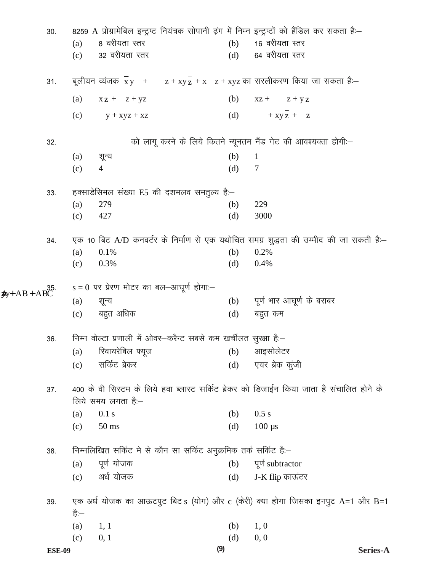| 30.                                              |                                                                  |                                            |                                                                  |     | 8259 A प्रोग्रामेबिल इन्ट्रप्ट नियंत्रक सोपानी ढ़ंग में निम्न इन्ट्रप्टों को हैंडिल कर सकता है:– |  |
|--------------------------------------------------|------------------------------------------------------------------|--------------------------------------------|------------------------------------------------------------------|-----|--------------------------------------------------------------------------------------------------|--|
|                                                  | (a)                                                              | 8 वरीयता स्तर                              |                                                                  | (b) | 16 वरीयता स्तर                                                                                   |  |
|                                                  | (c)                                                              | 32 वरीयता स्तर                             |                                                                  | (d) | 64 वरीयता स्तर                                                                                   |  |
| 31.                                              |                                                                  |                                            |                                                                  |     | बूलीयन व्यंजक $\bar{x}y$ + z + xy z + x z + xyz का सरलीकरण किया जा सकता है:–                     |  |
|                                                  |                                                                  | (a) $x \overline{z}$ + $z + yz$            |                                                                  |     | (b) $xz + z + yz$                                                                                |  |
|                                                  |                                                                  | (c) $y + xyz + xz$                         |                                                                  |     | (d) $+ xy z + z$                                                                                 |  |
| 32.                                              |                                                                  |                                            |                                                                  |     | को लागू करने के लिये कितने न्यूनतम नैंड गेट की आवश्यक्ता होगी:–                                  |  |
|                                                  | (a)                                                              | शून्य                                      |                                                                  | (b) | $\mathbf{1}$                                                                                     |  |
|                                                  | (c)                                                              | $\overline{4}$                             |                                                                  | (d) | 7                                                                                                |  |
| 33.                                              |                                                                  |                                            | हक्साडेसिमल संख्या E5 की दशमलव समतुल्य हैं:–                     |     |                                                                                                  |  |
|                                                  | (a)                                                              | 279                                        |                                                                  | (b) | 229                                                                                              |  |
|                                                  | (c)                                                              | 427                                        |                                                                  | (d) | 3000                                                                                             |  |
| 34.                                              |                                                                  |                                            |                                                                  |     | एक 10 बिट A/D कनवर्टर के निर्माण से एक यथोचित समग्र शुद्धता की उम्मीद की जा सकती है:-            |  |
|                                                  | (a)                                                              | 0.1%                                       |                                                                  | (b) | 0.2%                                                                                             |  |
|                                                  | (c)                                                              | 0.3%                                       |                                                                  | (d) | 0.4%                                                                                             |  |
| $\overline{AB} + \overline{AB} + \overline{ABC}$ |                                                                  | $s = 0$ पर प्रेरण मोटर का बल—आघूर्ण होगा:— |                                                                  |     |                                                                                                  |  |
|                                                  | (a)                                                              | शून्य                                      |                                                                  |     | (b) पूर्ण भार आघूर्ण के बराबर                                                                    |  |
|                                                  | (c)                                                              | बहुत अधिक                                  |                                                                  | (d) | बहुत कम                                                                                          |  |
| 36.                                              | निम्न वोल्टा प्रणाली में ओवर–करैन्ट सबसे कम खर्चीलत सुरक्षा है:– |                                            |                                                                  |     |                                                                                                  |  |
|                                                  | (a)                                                              | रिवायरेबिल फ्यूज                           |                                                                  | (b) | आइसोलेटर                                                                                         |  |
|                                                  | (c)                                                              | सर्किट ब्रेकर                              |                                                                  | (d) | एयर ब्रेक कुंजी                                                                                  |  |
| 37.                                              |                                                                  |                                            |                                                                  |     | 400 के वी सिस्टम के लिये हवा ब्लास्ट सर्किट ब्रेकर को डिजाईन किया जाता है संचालित होने के        |  |
|                                                  |                                                                  | लिये समय लगता है:–                         |                                                                  |     |                                                                                                  |  |
|                                                  | (a)                                                              | 0.1 s                                      |                                                                  | (b) | 0.5 s                                                                                            |  |
|                                                  | (c)                                                              | $50$ ms                                    |                                                                  | (d) | $100 \mu s$                                                                                      |  |
| 38.                                              |                                                                  |                                            | निम्नलिखित सर्किट मे से कौन सा सर्किट अनुक्रमिक तर्क सर्किट है:- |     |                                                                                                  |  |
|                                                  | (a)                                                              | पूर्ण योजक                                 |                                                                  | (b) | पूर्ण subtractor                                                                                 |  |
|                                                  | (c)                                                              | अर्ध योजक                                  |                                                                  | (d) | J-K flip काऊंटर                                                                                  |  |
| 39.                                              | है:—                                                             |                                            |                                                                  |     | एक अर्ध योजक का आऊटपुट बिट s (योग) और c (केरी) क्या होगा जिसका इनपुट A=1 और B=1                  |  |
|                                                  | (a)                                                              | 1, 1                                       |                                                                  | (b) | 1, 0                                                                                             |  |
|                                                  | (c)                                                              | 0, 1                                       |                                                                  | (d) | 0, 0                                                                                             |  |
| <b>ESE-09</b>                                    |                                                                  |                                            | (9)                                                              |     | Series-A                                                                                         |  |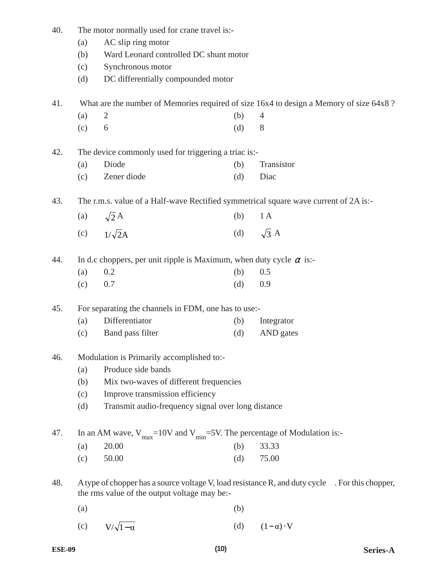| 40. | The motor normally used for crane travel is:- |                                                                                      |     |                                                                                               |  |  |  |
|-----|-----------------------------------------------|--------------------------------------------------------------------------------------|-----|-----------------------------------------------------------------------------------------------|--|--|--|
|     | AC slip ring motor<br>(a)                     |                                                                                      |     |                                                                                               |  |  |  |
|     | (b)                                           | Ward Leonard controlled DC shunt motor                                               |     |                                                                                               |  |  |  |
|     | (c)                                           | Synchronous motor                                                                    |     |                                                                                               |  |  |  |
|     | (d)                                           | DC differentially compounded motor                                                   |     |                                                                                               |  |  |  |
| 41. |                                               |                                                                                      |     | What are the number of Memories required of size 16x4 to design a Memory of size 64x8?        |  |  |  |
|     | (a)                                           | $\overline{2}$                                                                       | (b) | 4                                                                                             |  |  |  |
|     | (c)                                           | 6                                                                                    | (d) | 8                                                                                             |  |  |  |
| 42. |                                               | The device commonly used for triggering a triac is:-                                 |     |                                                                                               |  |  |  |
|     | (a)                                           | Diode                                                                                | (b) | Transistor                                                                                    |  |  |  |
|     | (c)                                           | Zener diode                                                                          | (d) | Diac                                                                                          |  |  |  |
| 43. |                                               | The r.m.s. value of a Half-wave Rectified symmetrical square wave current of 2A is:- |     |                                                                                               |  |  |  |
|     | (a)                                           | $\sqrt{2}A$                                                                          | (b) | 1A                                                                                            |  |  |  |
|     | (c)                                           | $1/\sqrt{2}A$                                                                        |     | (d) $\sqrt{3}$ A                                                                              |  |  |  |
| 44. |                                               | In d.c choppers, per unit ripple is Maximum, when duty cycle $\alpha$ is:-           |     |                                                                                               |  |  |  |
|     | (a)                                           | 0.2                                                                                  | (b) | 0.5                                                                                           |  |  |  |
|     | (c)                                           | 0.7                                                                                  | (d) | 0.9                                                                                           |  |  |  |
| 45. |                                               | For separating the channels in FDM, one has to use:-                                 |     |                                                                                               |  |  |  |
|     | (a)                                           | Differentiator                                                                       | (b) | Integrator                                                                                    |  |  |  |
|     | (c)                                           | Band pass filter                                                                     | (d) | AND gates                                                                                     |  |  |  |
| 46. |                                               | Modulation is Primarily accomplished to:-                                            |     |                                                                                               |  |  |  |
|     | (a)                                           | Produce side bands                                                                   |     |                                                                                               |  |  |  |
|     | (b)                                           | Mix two-waves of different frequencies                                               |     |                                                                                               |  |  |  |
|     | (c)                                           | Improve transmission efficiency                                                      |     |                                                                                               |  |  |  |
|     | (d)                                           | Transmit audio-frequency signal over long distance                                   |     |                                                                                               |  |  |  |
| 47. |                                               | In an AM wave, $V_{max}$ =10V and $V_{min}$ =5V. The percentage of Modulation is:-   |     |                                                                                               |  |  |  |
|     | (a)                                           | 20.00                                                                                | (b) | 33.33                                                                                         |  |  |  |
|     | (c)                                           | 50.00                                                                                | (d) | 75.00                                                                                         |  |  |  |
| 48. |                                               | the rms value of the output voltage may be:-                                         |     | A type of chopper has a source voltage V, load resistance R, and duty cycle For this chopper, |  |  |  |
|     | (a)                                           |                                                                                      | (b) |                                                                                               |  |  |  |
|     | (c)                                           | $V/\sqrt{1-\alpha}$                                                                  | (d) | $(1-\alpha) \cdot V$                                                                          |  |  |  |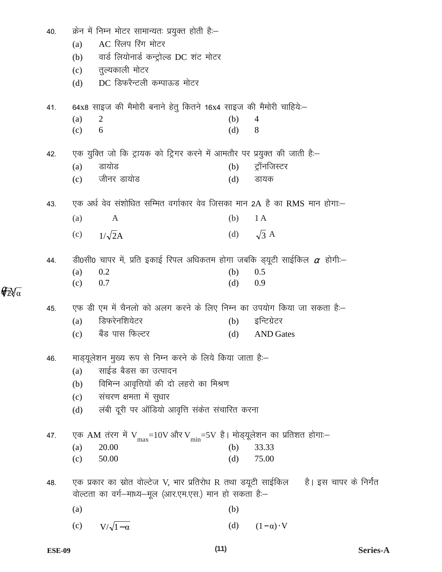| 40. |     | क्रेन में निम्न मोटर सामान्यतः प्रयुक्त होती है:–                                |     |                                                                                         |
|-----|-----|----------------------------------------------------------------------------------|-----|-----------------------------------------------------------------------------------------|
|     | (a) | AC स्लिप रिंग मोटर                                                               |     |                                                                                         |
|     | (b) | वार्ड लियोनार्ड कन्ट्रोल्ड DC शंट मोटर                                           |     |                                                                                         |
|     |     | (c) तुल्यकाली मोटर                                                               |     |                                                                                         |
|     | (d) | DC डिफरैन्टली कम्पाऊड मोटर                                                       |     |                                                                                         |
| 41. |     | 64x8 साइज की मैमोरी बनाने हेतु कितने 16x4 साइज की मैमोरी चाहिये:-                |     |                                                                                         |
|     | (a) | 2                                                                                | (b) | 4                                                                                       |
|     | (c) | 6                                                                                | (d) | 8                                                                                       |
| 42. |     | एक युक्ति जो कि ट्रायक को ट्रिगर करने में आमतौर पर प्रयुक्त की जाती है:–         |     |                                                                                         |
|     | (a) | डायोड                                                                            | (b) | ट्रॉनजिस्टर                                                                             |
|     | (c) | जीनर डायोड                                                                       | (d) | डायक                                                                                    |
| 43. |     | एक अर्ध वेव संशोधित सम्मित वर्गाकार वेव जिसका मान 2A है का RMS मान होगा:–        |     |                                                                                         |
|     | (a) | $\mathbf{A}$                                                                     | (b) | 1A                                                                                      |
|     |     | (c) $1/\sqrt{2}A$                                                                |     | (d) $\sqrt{3}$ A                                                                        |
| 44. |     | डी0सी0 चापर में, प्रति इकाई रिपल अधिकतम होगा जबकि ड्यूटी साईकिल $\alpha$ होगी:—  |     |                                                                                         |
|     | (a) | 0.2                                                                              | (b) | 0.5                                                                                     |
|     | (c) | 0.7                                                                              | (d) | 0.9                                                                                     |
| 45. |     | एफ डी एम में चैनलो को अलग करने के लिए निम्न का उपयोग किया जा सकता है:–           |     |                                                                                         |
|     | (a) | डिफरेनशियेटर                                                                     | (b) | इन्टिग्रेटर                                                                             |
|     | (c) | बैंड पास फिल्टर                                                                  | (d) | <b>AND</b> Gates                                                                        |
| 46. |     | माड्यूलेशन मुख्य रूप से निम्न करने के लिये किया जाता है:–                        |     |                                                                                         |
|     | (a) | साईड बैडस का उत्पादन                                                             |     |                                                                                         |
|     | (b) | विभिन्न आवृत्तियों की दो लहरो का मिश्रण                                          |     |                                                                                         |
|     | (c) | संचरण क्षमता में सुधार                                                           |     |                                                                                         |
|     | (d) | लंबी दूरी पर ऑडियो आवृत्ति संकेत संचारित करना                                    |     |                                                                                         |
| 47. |     | एक AM तंरग में $V_{max}$ =10V और V $_{min}$ =5V है। मोड्यूलेशन का प्रतिशत होगा:– |     |                                                                                         |
|     | (a) | 20.00                                                                            | (b) | 33.33                                                                                   |
|     | (c) | 50.00                                                                            | (d) | 75.00                                                                                   |
| 48. |     |                                                                                  |     | एक प्रकार का स्रोत वोल्टेज V, भार प्रतिरोध R तथा डयूटी साईकिल     है। इस चापर के निर्गत |
|     |     | वोल्टता का वर्ग-माध्य-मूल (आर.एम.एस.) मान हो सकता है:-                           |     |                                                                                         |
|     | (a) |                                                                                  | (b) |                                                                                         |
|     | (c) | $V/\sqrt{1-\alpha}$                                                              | (d) | $(1-\alpha) \cdot V$                                                                    |

 $\sqrt{\sqrt[2]{2}}\sqrt{\alpha}$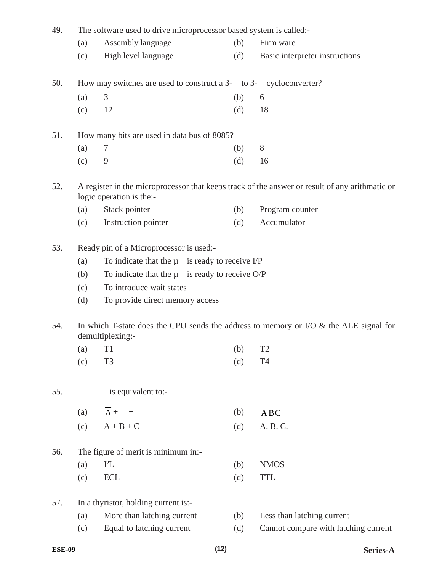| 49.                                    |                                                                                                              | The software used to drive microprocessor based system is called:- |     |                                                                                                |  |  |  |  |
|----------------------------------------|--------------------------------------------------------------------------------------------------------------|--------------------------------------------------------------------|-----|------------------------------------------------------------------------------------------------|--|--|--|--|
|                                        | (a)                                                                                                          | Assembly language                                                  | (b) | Firm ware                                                                                      |  |  |  |  |
|                                        | (c)                                                                                                          | High level language                                                | (d) | Basic interpreter instructions                                                                 |  |  |  |  |
| 50.                                    |                                                                                                              | How may switches are used to construct a 3- to 3- cycloconverter?  |     |                                                                                                |  |  |  |  |
|                                        | (a)                                                                                                          | 3                                                                  | (b) | 6                                                                                              |  |  |  |  |
|                                        | (c)                                                                                                          | 12                                                                 | (d) | 18                                                                                             |  |  |  |  |
|                                        |                                                                                                              | How many bits are used in data bus of 8085?                        |     |                                                                                                |  |  |  |  |
|                                        | (a)                                                                                                          | $\tau$                                                             | (b) | $8\,$                                                                                          |  |  |  |  |
|                                        | (c)                                                                                                          | 9                                                                  | (d) | 16                                                                                             |  |  |  |  |
|                                        |                                                                                                              | logic operation is the:-                                           |     | A register in the microprocessor that keeps track of the answer or result of any arithmatic or |  |  |  |  |
|                                        | (a)                                                                                                          | Stack pointer                                                      | (b) | Program counter                                                                                |  |  |  |  |
|                                        | (c)                                                                                                          | Instruction pointer                                                | (d) | Accumulator                                                                                    |  |  |  |  |
|                                        |                                                                                                              | Ready pin of a Microprocessor is used:-                            |     |                                                                                                |  |  |  |  |
|                                        | (a)                                                                                                          | To indicate that the $\mu$ is ready to receive I/P                 |     |                                                                                                |  |  |  |  |
|                                        | (b)                                                                                                          | To indicate that the $\mu$ is ready to receive O/P                 |     |                                                                                                |  |  |  |  |
|                                        | (c)                                                                                                          | To introduce wait states                                           |     |                                                                                                |  |  |  |  |
|                                        | (d)                                                                                                          | To provide direct memory access                                    |     |                                                                                                |  |  |  |  |
| 51.<br>52.<br>53.<br>54.<br>55.<br>56. | In which T-state does the CPU sends the address to memory or I/O $\&$ the ALE signal for<br>demultiplexing:- |                                                                    |     |                                                                                                |  |  |  |  |
|                                        |                                                                                                              | $(a)$ T1                                                           | (b) | T <sub>2</sub>                                                                                 |  |  |  |  |
|                                        | (c)                                                                                                          | T <sub>3</sub>                                                     | (d) | <b>T4</b>                                                                                      |  |  |  |  |
|                                        |                                                                                                              | is equivalent to:-                                                 |     |                                                                                                |  |  |  |  |
|                                        | (a)                                                                                                          | $\overline{A}$ +<br>$\overline{+}$                                 | (b) | ABC                                                                                            |  |  |  |  |
|                                        | (c)                                                                                                          | $A + B + C$                                                        | (d) | A. B. C.                                                                                       |  |  |  |  |
|                                        |                                                                                                              | The figure of merit is minimum in:-                                |     |                                                                                                |  |  |  |  |
|                                        | (a)                                                                                                          | $I^2L$                                                             | (b) | <b>NMOS</b>                                                                                    |  |  |  |  |
|                                        | (c)                                                                                                          | <b>ECL</b>                                                         | (d) | <b>TTL</b>                                                                                     |  |  |  |  |
| 57.                                    |                                                                                                              | In a thyristor, holding current is:-                               |     |                                                                                                |  |  |  |  |
|                                        | (a)                                                                                                          | More than latching current                                         | (b) | Less than latching current                                                                     |  |  |  |  |
|                                        | (c)                                                                                                          | Equal to latching current                                          | (d) | Cannot compare with latching current                                                           |  |  |  |  |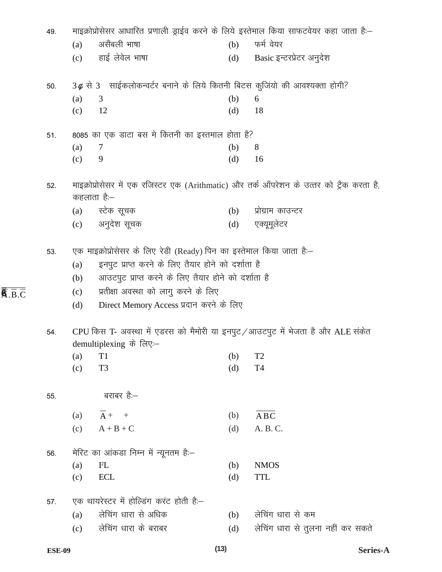| 49. |                          |                                                                                                                                                                                                                                                                       |     | माइक्रोप्रोसेसर आधारित प्रणाली ड्राईव करने के लिये इस्तेमाल किया साफटवेयर कहा जाता है:–  |
|-----|--------------------------|-----------------------------------------------------------------------------------------------------------------------------------------------------------------------------------------------------------------------------------------------------------------------|-----|------------------------------------------------------------------------------------------|
|     | (a)                      | असैंबली भाषा                                                                                                                                                                                                                                                          | (b) | फर्म वेयर                                                                                |
|     |                          | (c) हाई लेवेल भाषा                                                                                                                                                                                                                                                    |     | (d) Basic इन्टरप्रेटर अनुदेश                                                             |
| 50. |                          | $3\phi$ से 3 साईकलोकन्वर्टर बनाने के लिये कितनी बिटस कुजियो की आवश्यक्ता होगी?                                                                                                                                                                                        |     |                                                                                          |
|     | (a)                      | 3                                                                                                                                                                                                                                                                     | (b) | 6                                                                                        |
|     | (c)                      | 12                                                                                                                                                                                                                                                                    | (d) | 18                                                                                       |
| 51. |                          | 8085 का एक डाटा बस मे कितनी का इस्तमाल होता है?                                                                                                                                                                                                                       |     |                                                                                          |
|     | (a)                      | 7                                                                                                                                                                                                                                                                     | (b) | 8                                                                                        |
|     | (c)                      | 9                                                                                                                                                                                                                                                                     | (d) | 16                                                                                       |
| 52. |                          | कहलाता है:—                                                                                                                                                                                                                                                           |     | माइक्रोप्रोसेसर में एक रजिस्टर एक (Arithmatic) और तर्क ऑपरेशन के उत्तर को ट्रैक करता है, |
|     |                          | (a) स्टेक सूचक                                                                                                                                                                                                                                                        | (b) | प्रोग्राम काउन्टर                                                                        |
|     |                          | (c) अनुदेश सूचक                                                                                                                                                                                                                                                       | (d) | एक्यूमूलेटर                                                                              |
| 53. | (a)<br>(b)<br>(c)<br>(d) | एक माइक्रोप्रोसेसर के लिए रेडी (Ready) पिन का इस्तेमाल किया जाता है:–<br>इनपुट प्राप्त करने के लिए तैयार होने को दर्शाता है<br>आउटपुट प्राप्त करने के लिए तैयार होने को दर्शाता है<br>प्रतीक्षा अवस्था को लागु करने के लिए<br>Direct Memory Access प्रदान करने के लिए |     |                                                                                          |
| 54. |                          | demultiplexing के लिए:—                                                                                                                                                                                                                                               |     | CPU किस T- अवस्था में एडरस को मैमोरी या इनपुट /आउटपुट में भेजता है और ALE संकेत          |
|     | (a)                      | T1                                                                                                                                                                                                                                                                    | (b) | T <sub>2</sub>                                                                           |
|     | (c)                      | T <sub>3</sub>                                                                                                                                                                                                                                                        | (d) | T <sub>4</sub>                                                                           |
| 55. |                          | बराबर है:—                                                                                                                                                                                                                                                            |     |                                                                                          |
|     | (a)                      | $\overline{A}$ + +                                                                                                                                                                                                                                                    | (b) | ABC                                                                                      |
|     | (c)                      | $A + B + C$                                                                                                                                                                                                                                                           | (d) | A. B. C.                                                                                 |
| 56. |                          | मेरिट का आंकडा निम्न में न्यूनतम है:–                                                                                                                                                                                                                                 |     |                                                                                          |
|     | (a)                      | $I^2L$                                                                                                                                                                                                                                                                | (b) | <b>NMOS</b>                                                                              |
|     | (c)                      | <b>ECL</b>                                                                                                                                                                                                                                                            | (d) | <b>TTL</b>                                                                               |
| 57. |                          | एक थायरेस्टर में होल्डिंग करंट होती हैं:-                                                                                                                                                                                                                             |     |                                                                                          |
|     | (a)                      | लेचिंग धारा से अधिक                                                                                                                                                                                                                                                   | (b) | लेचिंग धारा से कम                                                                        |
|     | (c)                      | लेचिंग धारा के बराबर                                                                                                                                                                                                                                                  | (d) | लेचिंग धारा से तुलना नहीं कर सकते                                                        |
|     |                          |                                                                                                                                                                                                                                                                       |     |                                                                                          |

 $\overline{\overline{\mathbf{A}}.\overline{\mathbf{B}}.\overline{\mathbf{C}}}$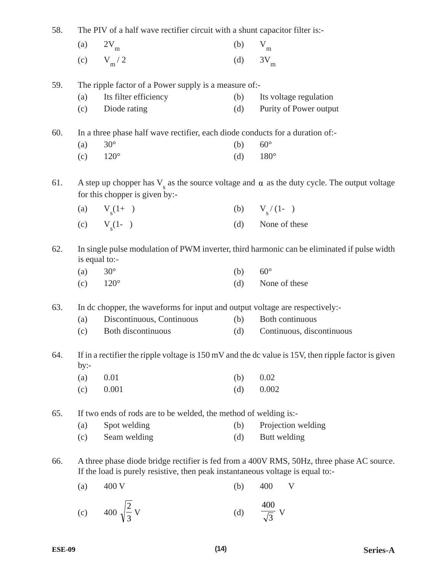| 58. | The PIV of a half wave rectifier circuit with a shunt capacitor filter is:-                                                                                                 |                                                                               |     |                                                                                                               |  |  |  |
|-----|-----------------------------------------------------------------------------------------------------------------------------------------------------------------------------|-------------------------------------------------------------------------------|-----|---------------------------------------------------------------------------------------------------------------|--|--|--|
|     | (a)                                                                                                                                                                         | $2V_{m}$                                                                      | (b) | $V_{m}$                                                                                                       |  |  |  |
|     | (c)                                                                                                                                                                         | $V_m/2$                                                                       | (d) | $3V_m$                                                                                                        |  |  |  |
| 59. |                                                                                                                                                                             | The ripple factor of a Power supply is a measure of:-                         |     |                                                                                                               |  |  |  |
|     | (a)                                                                                                                                                                         | Its filter efficiency                                                         | (b) | Its voltage regulation                                                                                        |  |  |  |
|     | (c)                                                                                                                                                                         | Diode rating                                                                  | (d) | Purity of Power output                                                                                        |  |  |  |
| 60. |                                                                                                                                                                             | In a three phase half wave rectifier, each diode conducts for a duration of:- |     |                                                                                                               |  |  |  |
|     | (a)                                                                                                                                                                         | $30^\circ$                                                                    | (b) | $60^{\circ}$                                                                                                  |  |  |  |
|     | (c)                                                                                                                                                                         | $120^\circ$                                                                   | (d) | $180^\circ$                                                                                                   |  |  |  |
| 61. |                                                                                                                                                                             | for this chopper is given by:-                                                |     | A step up chopper has $V_{s}$ as the source voltage and $\alpha$ as the duty cycle. The output voltage        |  |  |  |
|     |                                                                                                                                                                             | (a) $V_s(1+)$                                                                 |     | (b) $V_s/(1-$                                                                                                 |  |  |  |
|     |                                                                                                                                                                             | (c) $V_s(1-)$                                                                 | (d) | None of these                                                                                                 |  |  |  |
| 62. | In single pulse modulation of PWM inverter, third harmonic can be eliminated if pulse width<br>is equal to:-                                                                |                                                                               |     |                                                                                                               |  |  |  |
|     | (a)                                                                                                                                                                         | $30^\circ$                                                                    | (b) | $60^\circ$                                                                                                    |  |  |  |
|     | (c)                                                                                                                                                                         | $120^\circ$                                                                   | (d) | None of these                                                                                                 |  |  |  |
| 63. |                                                                                                                                                                             | In dc chopper, the waveforms for input and output voltage are respectively:-  |     |                                                                                                               |  |  |  |
|     | (a)                                                                                                                                                                         | Discontinuous, Continuous                                                     | (b) | Both continuous                                                                                               |  |  |  |
|     | (c)                                                                                                                                                                         | Both discontinuous                                                            | (d) | Continuous, discontinuous                                                                                     |  |  |  |
| 64. | $by:-$                                                                                                                                                                      |                                                                               |     | If in a rectifier the ripple voltage is $150 \text{ mV}$ and the dc value is 15V, then ripple factor is given |  |  |  |
|     | (a)                                                                                                                                                                         | 0.01                                                                          | (b) | 0.02                                                                                                          |  |  |  |
|     | (c)                                                                                                                                                                         | 0.001                                                                         | (d) | 0.002                                                                                                         |  |  |  |
| 65. |                                                                                                                                                                             | If two ends of rods are to be welded, the method of welding is:-              |     |                                                                                                               |  |  |  |
|     | (a)                                                                                                                                                                         | Spot welding                                                                  | (b) | Projection welding                                                                                            |  |  |  |
|     | (c)                                                                                                                                                                         | Seam welding                                                                  | (d) | Butt welding                                                                                                  |  |  |  |
| 66. | A three phase diode bridge rectifier is fed from a 400V RMS, 50Hz, three phase AC source.<br>If the load is purely resistive, then peak instantaneous voltage is equal to:- |                                                                               |     |                                                                                                               |  |  |  |
|     | (a)                                                                                                                                                                         | 400 V                                                                         | (b) | 400<br>V                                                                                                      |  |  |  |
|     | (c)                                                                                                                                                                         | 400 $\sqrt{\frac{2}{3}}$ V                                                    | (d) | 400                                                                                                           |  |  |  |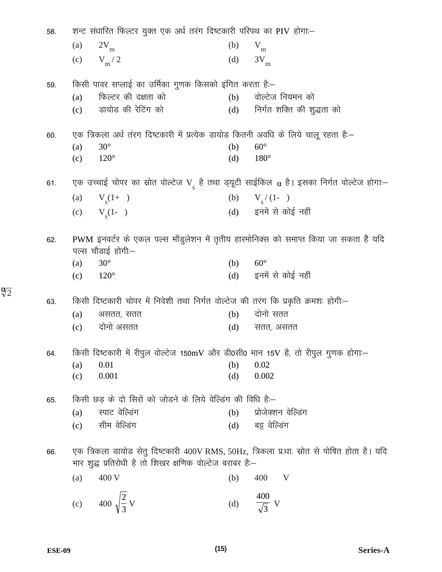| 58. | शन्ट संधारित फिल्टर युक्त एक अर्ध तरंग दिष्टकारी परिपथ का PIV होगा:-                                                                                    |     |                                |
|-----|---------------------------------------------------------------------------------------------------------------------------------------------------------|-----|--------------------------------|
|     | (a)<br>$2V_{\rm m}$                                                                                                                                     | (b) | $V_{m}$                        |
|     | $V_{\rm m}$ / 2<br>(c)                                                                                                                                  | (d) | $3V_{m}$                       |
| 59. | किसी पावर सप्लाई का उर्मिका गुणक किसको इंगित करता है:–                                                                                                  |     |                                |
|     | फिल्टर की दक्षता को<br>(a)                                                                                                                              | (b) | वोल्टेज नियमन को               |
|     | डायोड की रेटिंग को<br>(c)                                                                                                                               |     | (d) निर्गत शक्ति की शुद्धता को |
| 60. | एक त्रिकला अर्ध तंरग दिष्टकारी में प्रत्येक डायोड कितनी अवधि के लिये चालू रहता है:–                                                                     |     |                                |
|     | $30^\circ$<br>(a)                                                                                                                                       | (b) | $60^{\circ}$                   |
|     | $120^\circ$<br>(c)                                                                                                                                      | (d) | $180^\circ$                    |
| 61. | एक उच्चाई चोपर का स्रोत वोल्टेज Vू है तथा ड्यूटी साईकिल $\alpha$ है। इसका निर्गत वोल्टेज होगा:–                                                         |     |                                |
|     | (a) $V_s(1+)$                                                                                                                                           |     | (b) $V_s/(1-$                  |
|     | (c) $V_s(1-)$                                                                                                                                           |     | (d) इनमें से कोई नहीं          |
|     |                                                                                                                                                         |     |                                |
| 62. | PWM इनवर्टर के एकल पल्स माँडुलेशन में तृतीय हारमोनिक्स को समाप्त किया जा सकता है यदि<br>पल्स चौडाई होगी:–                                               |     |                                |
|     | $30^\circ$<br>(a)                                                                                                                                       | (b) | $60^\circ$                     |
|     | (c) $120^{\circ}$                                                                                                                                       | (d) | इनमें से कोई नहीं              |
| 63. | किसी दिष्टकारी चोपर में निवेशी तथा निर्गत वोल्टेज की तरंग कि प्रकृति क्रमशः होगी:–                                                                      |     |                                |
|     | (a)<br>असतत, सतत                                                                                                                                        | (b) | दोनो सतत                       |
|     | दोनो असतत<br>(c)                                                                                                                                        | (d) | सतत, असतत                      |
| 64. | किसी दिष्टकारी में रीपुल वोल्टेज 150mV और डी0सी0 मान 15V है, तो रीपुल गुणक होगा:-                                                                       |     |                                |
|     | 0.01<br>(a)                                                                                                                                             | (b) | 0.02                           |
|     | 0.001<br>(c)                                                                                                                                            | (d) | 0.002                          |
| 65. | किसी छड़ के दो सिरों को जोडने के लिये वेल्डिंग की विधि है:–                                                                                             |     |                                |
|     | स्पाट वेल्डिंग<br>(a)                                                                                                                                   | (b) | प्रोजेक्शन वेल्डिंग            |
|     | सीम वेल्डिंग<br>(c)                                                                                                                                     | (d) | बट्ट वेल्डिंग                  |
|     |                                                                                                                                                         |     |                                |
| 66. | एक त्रिकला डायोड सेतु दिष्टकारी 400V RMS, 50Hz, त्रिकला प्र.धा. स्रोत से पोषित होता है। यदि<br>भार शुद्ध प्रतिरोधी है तो शिखर क्षणिक वोल्टेज बराबर है:- |     |                                |
|     |                                                                                                                                                         |     |                                |
|     | 400 V<br>(a)                                                                                                                                            | (b) | 400<br>$\mathbf{V}$            |
|     | 400 $\sqrt{\frac{2}{3}}$ V<br>(c)                                                                                                                       | (d) | $\frac{400}{\sqrt{3}}$ V       |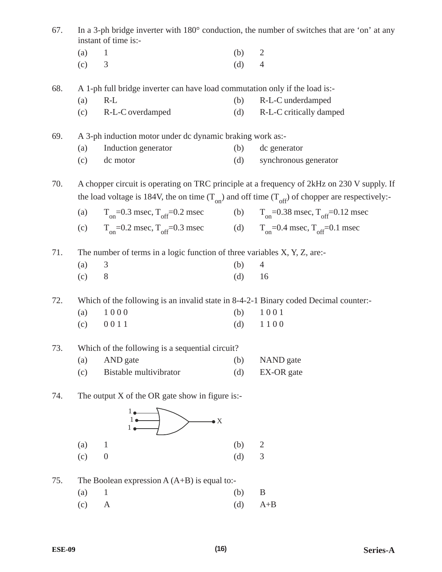| In a 3-ph bridge inverter with 180° conduction, the number of switches that are 'on' at any<br>67.<br>instant of time is:- |         |                                                                                         |     |                                                                                                                                                                                                       |
|----------------------------------------------------------------------------------------------------------------------------|---------|-----------------------------------------------------------------------------------------|-----|-------------------------------------------------------------------------------------------------------------------------------------------------------------------------------------------------------|
|                                                                                                                            | (a)     | $\mathbf{1}$                                                                            | (b) | $\overline{2}$                                                                                                                                                                                        |
|                                                                                                                            | (c)     | 3                                                                                       | (d) | $\overline{4}$                                                                                                                                                                                        |
| 68.                                                                                                                        |         | A 1-ph full bridge inverter can have load commutation only if the load is:-             |     |                                                                                                                                                                                                       |
|                                                                                                                            | (a)     | $R-L$                                                                                   | (b) | R-L-C underdamped                                                                                                                                                                                     |
|                                                                                                                            | (c)     | R-L-C overdamped                                                                        | (d) | R-L-C critically damped                                                                                                                                                                               |
| 69.                                                                                                                        |         | A 3-ph induction motor under dc dynamic braking work as:-                               |     |                                                                                                                                                                                                       |
|                                                                                                                            | (a)     | Induction generator                                                                     | (b) | dc generator                                                                                                                                                                                          |
|                                                                                                                            | (c)     | dc motor                                                                                | (d) | synchronous generator                                                                                                                                                                                 |
| 70.                                                                                                                        |         |                                                                                         |     | A chopper circuit is operating on TRC principle at a frequency of 2kHz on 230 V supply. If<br>the load voltage is 184V, the on time $(T_{on})$ and off time $(T_{off})$ of chopper are respectively:- |
|                                                                                                                            | (a)     | $T_{on}$ =0.3 msec, $T_{off}$ =0.2 msec                                                 |     | (b) $T_{on} = 0.38$ msec, $T_{off} = 0.12$ msec                                                                                                                                                       |
|                                                                                                                            | (c)     | $T_{on} = 0.2$ msec, $T_{off} = 0.3$ msec (d) $T_{on} = 0.4$ msec, $T_{off} = 0.1$ msec |     |                                                                                                                                                                                                       |
| 71.                                                                                                                        |         | The number of terms in a logic function of three variables X, Y, Z, are:-               |     |                                                                                                                                                                                                       |
|                                                                                                                            | (a)     | 3                                                                                       | (b) | 4                                                                                                                                                                                                     |
|                                                                                                                            | (c)     | 8                                                                                       | (d) | 16                                                                                                                                                                                                    |
| 72.                                                                                                                        |         | Which of the following is an invalid state in 8-4-2-1 Binary coded Decimal counter:-    |     |                                                                                                                                                                                                       |
|                                                                                                                            | (a)     | 1000                                                                                    | (b) | 1001                                                                                                                                                                                                  |
|                                                                                                                            | (c)     | 0011                                                                                    | (d) | 1100                                                                                                                                                                                                  |
| 73.                                                                                                                        |         | Which of the following is a sequential circuit?                                         |     |                                                                                                                                                                                                       |
|                                                                                                                            | (a)     | AND gate                                                                                | (b) | NAND gate                                                                                                                                                                                             |
|                                                                                                                            | (c)     | Bistable multivibrator                                                                  | (d) | EX-OR gate                                                                                                                                                                                            |
| 74.                                                                                                                        |         | The output $X$ of the OR gate show in figure is:-                                       |     |                                                                                                                                                                                                       |
|                                                                                                                            |         | $\rightarrow$ X                                                                         |     |                                                                                                                                                                                                       |
|                                                                                                                            | (a)     | $\mathbf{1}$                                                                            | (b) | $\overline{c}$                                                                                                                                                                                        |
|                                                                                                                            | (c)     | $\boldsymbol{0}$                                                                        | (d) | 3                                                                                                                                                                                                     |
| 75.                                                                                                                        |         | The Boolean expression $A(A+B)$ is equal to:-                                           |     |                                                                                                                                                                                                       |
|                                                                                                                            | $(a)$ 1 |                                                                                         | (h) | R                                                                                                                                                                                                     |

(a) 1 (b) B<br>
(c) A (d) A+  $A$  (d)  $A+B$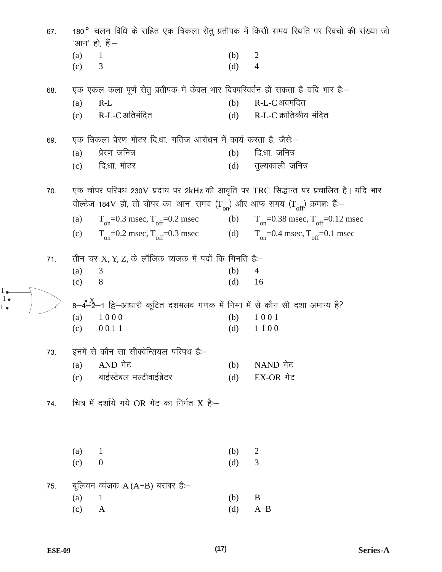180° चलन विधि के सहित एक त्रिकला सेतु प्रतीपक में किसी समय स्थिति पर स्विचो की संख्या जो 67. 'आन' हो, हैं:–  $(a)$  $\mathbf{1}$  $(b)$  $\overline{2}$  $(c)$ 3  $(d)$  $\overline{4}$ एक एकल कला पूर्ण सेतु प्रतीपक में केवल भार दिक्परिवर्तन हो सकता है यदि भार है:-68. R-L-C अवमंदित  $(a)$  $R-L$  $(b)$ R-L-C अतिमंदित R-L-C क्रांतिकीय मंदित  $(c)$  $(d)$ एक त्रिकला प्रेरण मोटर दि.धा. गतिज आरोधन में कार्य करता है, जैसे:-69.  $(a)$ प्रेरण जनित्र दिधा जनित्र  $(b)$ दि.धा. मोटर तुल्यकाली जनित्र  $(c)$  $(d)$ एक चोपर परिपथ 230V प्रदाय पर 2kHz की आवृति पर TRC सिद्धान्त पर प्रचालित है। यदि भार 70. वोल्टेज 184V हो, तो चोपर का 'आन' समय (Ton) और आफ समय (Toff) क्रमशः हैं:- $T_{on}$ =0.3 msec,  $T_{off}$ =0.2 msec  $(b)$  $T_{on}$ =0.38 msec,  $T_{off}$ =0.12 msec  $(a)$  $T_{on}$ =0.2 msec,  $T_{off}$ =0.3 msec (d)  $T_{on} = 0.4$  msec,  $T_{off} = 0.1$  msec  $(c)$ तीन चर X, Y, Z, के लॉजिक व्यंजक में पदों कि गिनति है:- $71.$  $(a)$ 3  $(b)$  $\overline{4}$  $(c)$ 8  $(d)$ 16  $(a)$ 1000  $(b)$ 1001  $(c)$ 0011  $(d)$ 1100 इनमें से कौन सा सीक्वेन्सियल परिपथ हैं:– 73. AND गेट NAND गेट  $(a)$  $(b)$ बाईस्टेबल मल्टीवाईब्रेटर EX-OR गेट  $(c)$  $(d)$ चित्र में दर्शाये गये OR गेट का निर्गत X है:-74.  $(a)$  $\mathbf{1}$  $(b)$ 2  $(c)$  $\boldsymbol{0}$  $(d)$ 3 बूलियन व्यंजक A  $(A+B)$  बराबर हैं:-75.  $(a)$  $\mathbf{1}$ B (b)  $(c)$  $\mathbf{A}$  $(d)$  $A+B$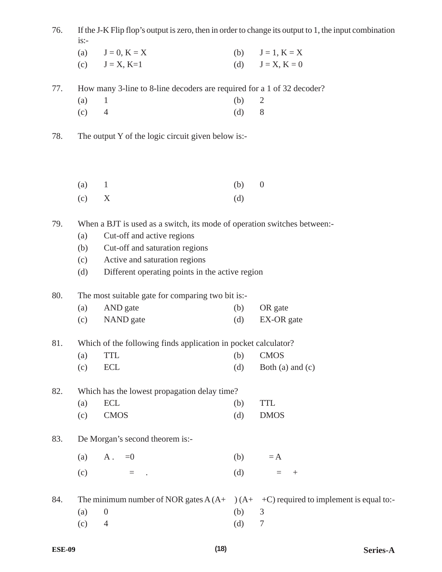| 76. | If the J-K Flip flop's output is zero, then in order to change its output to 1, the input combination |
|-----|-------------------------------------------------------------------------------------------------------|
|     |                                                                                                       |

| (a) $J=0, K=X$     | (b) $J=1, K=X$     |
|--------------------|--------------------|
| (c) $J = X, K = 1$ | (d) $J = X, K = 0$ |

77. How many 3-line to 8-line decoders are required for a 1 of 32 decoder?

| $(a)$ 1 | $(b)$ 2 |  |
|---------|---------|--|
| $(c)$ 4 | $(d)$ 8 |  |

78. The output Y of the logic circuit given below is:-

| $(a)$ 1 | $(b)$ 0 |  |
|---------|---------|--|
| $(c)$ X | (d)     |  |

79. When a BJT is used as a switch, its mode of operation switches between:-

- (a) Cut-off and active regions
- (b) Cut-off and saturation regions
- (c) Active and saturation regions
- (d) Different operating points in the active region

80. The most suitable gate for comparing two bit is:-

| (a) | AND gate  | (b) | OR gate    |
|-----|-----------|-----|------------|
| (c) | NAND gate | (d) | EX-OR gate |

81. Which of the following finds application in pocket calculator?

(a) TTL (b) CMOS (c)  $ECL$  (d)  $Both (a) and (c)$ 

82. Which has the lowest propagation delay time?

| $(a)$ ECL |                    | $(b)$ TTL  |
|-----------|--------------------|------------|
|           | $\mathcal{C}$ CMOS | $(d)$ DMOS |

83. De Morgan's second theorem is:-

|     | (a) $A = 0$ |                                            |  |     | $(b) = A$      |  |
|-----|-------------|--------------------------------------------|--|-----|----------------|--|
| (c) |             | $\mathbf{r} = \mathbf{r} \cdot \mathbf{r}$ |  | (d) | $\epsilon = -$ |  |

84. The minimum number of NOR gates  $A(A+) (A+ +C)$  required to implement is equal to:-

- (a) 0 (b) 3
- (c) 4 (d) 7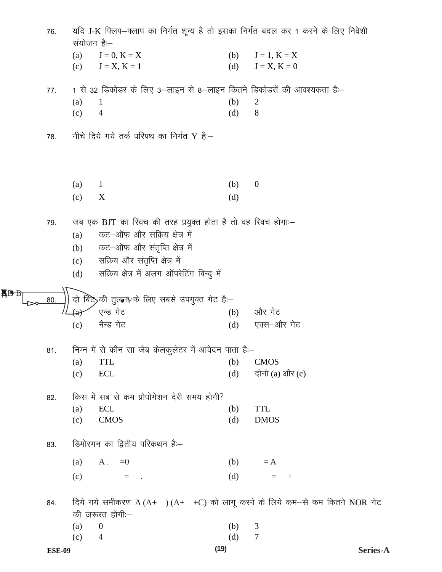|            | 76. | यदि J-K फिलप-फ्लाप का निर्गत शून्य है तो इसका निर्गत बदल कर 1 करने के लिए निवेशी<br>संयोजन है:– |                                                                        |     |                                                                               |  |
|------------|-----|-------------------------------------------------------------------------------------------------|------------------------------------------------------------------------|-----|-------------------------------------------------------------------------------|--|
|            |     | (a)                                                                                             | $J=0, K=X$                                                             | (b) | $J=1, K=X$                                                                    |  |
|            |     | (c)                                                                                             | $J = X, K = 1$                                                         | (d) | $J = X, K = 0$                                                                |  |
|            | 77. |                                                                                                 | 1 से 32 डिकोडर के लिए 3–लाइन से 8–लाइन कितने डिकोडरों की आवश्यकता है:– |     |                                                                               |  |
|            |     | (a)                                                                                             | 1                                                                      | (b) | $\overline{2}$                                                                |  |
|            |     | (c)                                                                                             | $\overline{4}$                                                         | (d) | 8                                                                             |  |
|            | 78. |                                                                                                 | नीचे दिये गये तर्क परिपथ का निर्गत Y हैं:-                             |     |                                                                               |  |
|            |     |                                                                                                 |                                                                        |     |                                                                               |  |
|            |     | (a)                                                                                             | $\mathbf{1}$                                                           | (b) | $\boldsymbol{0}$                                                              |  |
|            |     | (c)                                                                                             | X                                                                      | (d) |                                                                               |  |
|            | 79. |                                                                                                 | जब एक BJT का स्विच की तरह प्रयुक्त होता है तो वह स्विच होगा:-          |     |                                                                               |  |
|            |     | (a)                                                                                             | कट-ऑफ और सक्रिय क्षेत्र में                                            |     |                                                                               |  |
|            |     | (b)                                                                                             | कट-ऑफ और संतृप्ति क्षेत्र में                                          |     |                                                                               |  |
|            |     | (c)                                                                                             | सक्रिय और संतृप्ति क्षेत्र में                                         |     |                                                                               |  |
|            |     | (d)                                                                                             | सक्रिय क्षेत्र में अलग ऑपरेटिंग बिन्दु में                             |     |                                                                               |  |
| <b>KBB</b> | 80. | दो                                                                                              | बिटे $>$ की सुलना $_Y$ के लिए सबसे उपयुक्त गेट है:-                    |     |                                                                               |  |
|            |     |                                                                                                 | एन्ड गेट                                                               | (b) | और गेट                                                                        |  |
|            |     | (c)                                                                                             | नैन्ड गेट                                                              | (d) | एक्स–और गेट                                                                   |  |
|            | 81. |                                                                                                 | निम्न में से कौन सा जेब केलकुलेटर में आवेदन पाता है:-                  |     |                                                                               |  |
|            |     | (a)                                                                                             | <b>TTL</b>                                                             | (b) | <b>CMOS</b>                                                                   |  |
|            |     | (c)                                                                                             | ECL                                                                    | (d) | दोनो (a) और (c)                                                               |  |
|            | 82. |                                                                                                 | किस में सब से कम प्रोपोगेशन देरी समय होगी?                             |     |                                                                               |  |
|            |     | (a)                                                                                             | ECL                                                                    | (b) | <b>TTL</b>                                                                    |  |
|            |     | (c)                                                                                             | <b>CMOS</b>                                                            | (d) | <b>DMOS</b>                                                                   |  |
|            | 83. |                                                                                                 | डिमोरगन का द्वितीय परिकथन है:-                                         |     |                                                                               |  |
|            |     | (a)                                                                                             | $A = 0$                                                                | (b) | $=$ A                                                                         |  |
|            |     | (c)                                                                                             | $=$ .                                                                  | (d) | $=$ +                                                                         |  |
|            | 84. |                                                                                                 | की जरूरत होगी:-                                                        |     | दिये गये समीकरण $A(A+)$ $(A+$ +C) को लागू करने के लिये कम-से कम कितने NOR गेट |  |
|            |     | (a)                                                                                             | $\boldsymbol{0}$                                                       | (b) | $\mathfrak{Z}$                                                                |  |
|            |     | (c)                                                                                             | $\overline{4}$                                                         | (d) | $\tau$                                                                        |  |
|            |     |                                                                                                 |                                                                        |     |                                                                               |  |

 $(19)$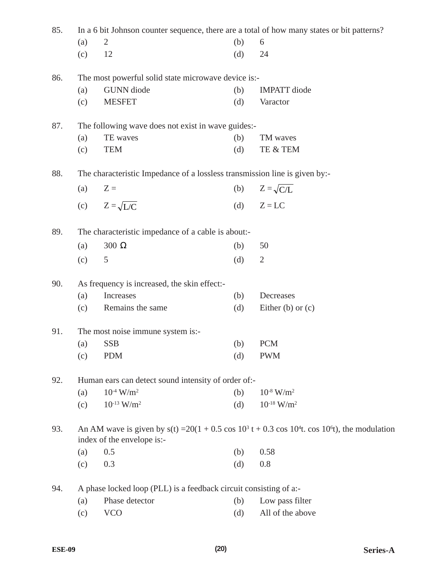| 85. |     | In a 6 bit Johnson counter sequence, there are a total of how many states or bit patterns?                                                      |     |                             |  |  |  |  |
|-----|-----|-------------------------------------------------------------------------------------------------------------------------------------------------|-----|-----------------------------|--|--|--|--|
|     | (a) | 2                                                                                                                                               | (b) | 6                           |  |  |  |  |
|     | (c) | 12                                                                                                                                              | (d) | 24                          |  |  |  |  |
| 86. |     | The most powerful solid state microwave device is:-                                                                                             |     |                             |  |  |  |  |
|     | (a) | <b>GUNN</b> diode                                                                                                                               | (b) | <b>IMPATT</b> diode         |  |  |  |  |
|     | (c) | <b>MESFET</b>                                                                                                                                   | (d) | Varactor                    |  |  |  |  |
| 87. |     | The following wave does not exist in wave guides:-                                                                                              |     |                             |  |  |  |  |
|     | (a) | TE waves                                                                                                                                        | (b) | TM waves                    |  |  |  |  |
|     | (c) | <b>TEM</b>                                                                                                                                      | (d) | TE & TEM                    |  |  |  |  |
| 88. |     | The characteristic Impedance of a lossless transmission line is given by:-                                                                      |     |                             |  |  |  |  |
|     | (a) | $Z =$                                                                                                                                           | (b) | $Z = \sqrt{C/L}$            |  |  |  |  |
|     | (c) | $Z = \sqrt{L/C}$                                                                                                                                | (d) | $Z = LC$                    |  |  |  |  |
| 89. |     | The characteristic impedance of a cable is about:-                                                                                              |     |                             |  |  |  |  |
|     | (a) | 300 $\Omega$                                                                                                                                    | (b) | 50                          |  |  |  |  |
|     | (c) | 5                                                                                                                                               | (d) | $\overline{2}$              |  |  |  |  |
| 90. |     | As frequency is increased, the skin effect:-                                                                                                    |     |                             |  |  |  |  |
|     | (a) | Increases                                                                                                                                       | (b) | Decreases                   |  |  |  |  |
|     | (c) | Remains the same                                                                                                                                | (d) | Either $(b)$ or $(c)$       |  |  |  |  |
| 91. |     | The most noise immune system is:-                                                                                                               |     |                             |  |  |  |  |
|     | (a) | <b>SSB</b>                                                                                                                                      | (b) | <b>PCM</b>                  |  |  |  |  |
|     | (c) | <b>PDM</b>                                                                                                                                      | (d) | <b>PWM</b>                  |  |  |  |  |
| 92. |     | Human ears can detect sound intensity of order of:-                                                                                             |     |                             |  |  |  |  |
|     | (a) | $10^{-4}$ W/m <sup>2</sup>                                                                                                                      | (b) | $10^{-8}$ W/m <sup>2</sup>  |  |  |  |  |
|     | (c) | $10^{-13}$ W/m <sup>2</sup>                                                                                                                     | (d) | $10^{-18}$ W/m <sup>2</sup> |  |  |  |  |
| 93. |     | An AM wave is given by $s(t) = 20(1 + 0.5 \cos 10^3 t + 0.3 \cos 10^4 t$ . cos 10 <sup>6</sup> t), the modulation<br>index of the envelope is:- |     |                             |  |  |  |  |
|     | (a) | 0.5                                                                                                                                             | (b) | 0.58                        |  |  |  |  |
|     | (c) | 0.3                                                                                                                                             | (d) | 0.8                         |  |  |  |  |
| 94. |     | A phase locked loop (PLL) is a feedback circuit consisting of a:-                                                                               |     |                             |  |  |  |  |
|     | (a) | Phase detector                                                                                                                                  | (b) | Low pass filter             |  |  |  |  |
|     | (c) | <b>VCO</b>                                                                                                                                      | (d) | All of the above            |  |  |  |  |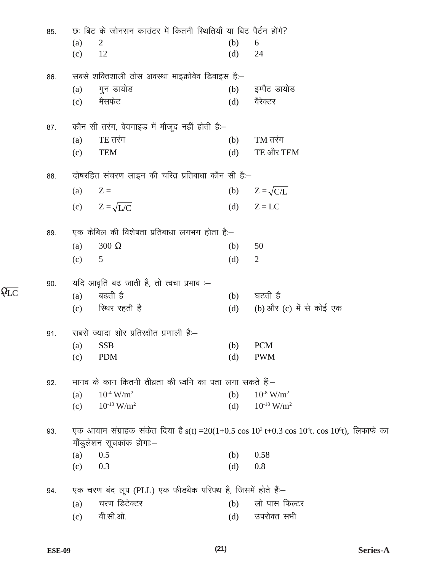| 85. | छः बिट के जोनसन काउंटर में कितनी स्थितियाँ या बिट पैर्टन होंगे?                                                                   |     |                             |
|-----|-----------------------------------------------------------------------------------------------------------------------------------|-----|-----------------------------|
|     | (a)<br>2                                                                                                                          | (b) | 6                           |
|     | 12<br>(c)                                                                                                                         | (d) | 24                          |
| 86. | सबसे शक्तिशाली ठोस अवस्था माइक्रोवेव डिवाइस है:-                                                                                  |     |                             |
|     | गुन डायोड<br>(a)                                                                                                                  | (b) | इम्पैट डायोड                |
|     | मैसफेट<br>(c)                                                                                                                     | (d) | वैरेक्टर                    |
|     |                                                                                                                                   |     |                             |
| 87. | कौन सी तरंग, वेवगाइड में मौजूद नहीं होती है:-                                                                                     |     |                             |
|     | $TE$ तरंग<br>(a)                                                                                                                  | (b) | $TM$ तरंग                   |
|     | <b>TEM</b><br>(c)                                                                                                                 | (d) | TE और TEM                   |
| 88. | दोषरहित संचरण लाइन की चरिव्र प्रतिबाधा कौन सी है:–                                                                                |     |                             |
|     | (a)<br>$Z =$                                                                                                                      | (b) | $Z = \sqrt{C/L}$            |
|     | (c) $Z = \sqrt{L/C}$                                                                                                              | (d) | $Z = LC$                    |
|     |                                                                                                                                   |     |                             |
| 89. | एक केबिल की विशेषता प्रतिबाधा लगभग होता है:–                                                                                      |     |                             |
|     | $300 \Omega$<br>(a)                                                                                                               | (b) | 50                          |
|     | 5<br>(c)                                                                                                                          | (d) | $\overline{2}$              |
| 90. | यदि आवृति बढ जाती है, तो त्वचा प्रभाव :--                                                                                         |     |                             |
|     | बढती है<br>(a)                                                                                                                    | (b) | घटती है                     |
|     | रिथर रहती है<br>(c)                                                                                                               | (d) | (b) और (c) में से कोई एक    |
| 91. | सबसे ज्यादा शोर प्रतिरक्षीत प्रणाली हैं:-                                                                                         |     |                             |
|     | $(a)$ SSB                                                                                                                         | (b) | <b>PCM</b>                  |
|     | <b>PDM</b><br>(c)                                                                                                                 | (d) | <b>PWM</b>                  |
| 92. | मानव के कान कितनी तीव्रता की ध्वनि का पता लगा सकते हैं:–                                                                          |     |                             |
|     | $10^{-4}$ W/m <sup>2</sup><br>(a)                                                                                                 | (b) | $10^{-8}$ W/m <sup>2</sup>  |
|     | $10^{-13}$ W/m <sup>2</sup><br>(c)                                                                                                | (d) | $10^{-18}$ W/m <sup>2</sup> |
|     | एक आयाम संग्राहक संकेत दिया है s(t) = 20(1+0.5 cos 10 <sup>3</sup> t+0.3 cos 10 <sup>4</sup> t. cos 10 <sup>6</sup> t), लिफाफे का |     |                             |
| 93. | माँडुलेशन सूचकांक होगा:-                                                                                                          |     |                             |
|     | 0.5<br>(a)                                                                                                                        | (b) | 0.58                        |
|     | 0.3<br>(c)                                                                                                                        | (d) | 0.8                         |
| 94. | एक चरण बंद लूप (PLL) एक फीडबैक परिपथ है, जिसमें होते हैं:-                                                                        |     |                             |
|     | चरण डिटेक्टर<br>(a)                                                                                                               | (b) | लो पास फिल्टर               |
|     | वी.सी.ओ.<br>(c)                                                                                                                   | (d) | उपरोक्त सभी                 |

 $\overline{Q_{LC}}$ 

Series-A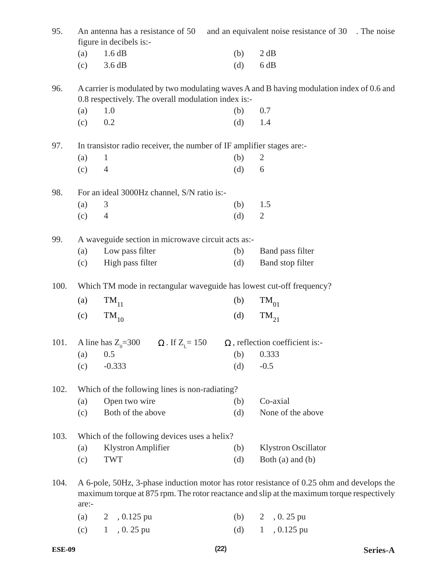| 95.  |       | An antenna has a resistance of 50<br>figure in decibels is:-                                                                                                                            |     | and an equivalent noise resistance of 30 The noise |  |
|------|-------|-----------------------------------------------------------------------------------------------------------------------------------------------------------------------------------------|-----|----------------------------------------------------|--|
|      | (a)   | 1.6 dB                                                                                                                                                                                  | (b) | 2 dB                                               |  |
|      | (c)   | 3.6 dB                                                                                                                                                                                  | (d) | 6 dB                                               |  |
| 96.  |       | A carrier is modulated by two modulating waves A and B having modulation index of 0.6 and<br>0.8 respectively. The overall modulation index is:-                                        |     |                                                    |  |
|      | (a)   | 1.0                                                                                                                                                                                     | (b) | 0.7                                                |  |
|      | (c)   | 0.2                                                                                                                                                                                     | (d) | 1.4                                                |  |
| 97.  |       | In transistor radio receiver, the number of IF amplifier stages are:-                                                                                                                   |     |                                                    |  |
|      | (a)   | $\mathbf{1}$                                                                                                                                                                            | (b) | $\overline{2}$                                     |  |
|      | (c)   | $\overline{4}$                                                                                                                                                                          | (d) | 6                                                  |  |
| 98.  |       | For an ideal 3000Hz channel, S/N ratio is:-                                                                                                                                             |     |                                                    |  |
|      | (a)   | 3                                                                                                                                                                                       | (b) | 1.5                                                |  |
|      | (c)   | $\overline{4}$                                                                                                                                                                          | (d) | $\overline{2}$                                     |  |
| 99.  |       | A waveguide section in microwave circuit acts as:-                                                                                                                                      |     |                                                    |  |
|      | (a)   | Low pass filter                                                                                                                                                                         | (b) | Band pass filter                                   |  |
|      | (c)   | High pass filter                                                                                                                                                                        | (d) | Band stop filter                                   |  |
| 100. |       | Which TM mode in rectangular waveguide has lowest cut-off frequency?                                                                                                                    |     |                                                    |  |
|      | (a)   | $\text{TM}_{11}$                                                                                                                                                                        | (b) | $\rm TM_{01}$                                      |  |
|      | (c)   | $\rm{TM}_{10}$                                                                                                                                                                          | (d) | $TM_{21}$                                          |  |
| 101. |       | A line has $Z_0 = 300$ $\Omega$ . If $Z_1 = 150$                                                                                                                                        |     | $\Omega$ , reflection coefficient is:-             |  |
|      | (a)   | 0.5                                                                                                                                                                                     | (b) | 0.333                                              |  |
|      | (c)   | $-0.333$                                                                                                                                                                                | (d) | $-0.5$                                             |  |
| 102. |       | Which of the following lines is non-radiating?                                                                                                                                          |     |                                                    |  |
|      | (a)   | Open two wire                                                                                                                                                                           | (b) | Co-axial                                           |  |
|      | (c)   | Both of the above                                                                                                                                                                       | (d) | None of the above                                  |  |
| 103. |       | Which of the following devices uses a helix?                                                                                                                                            |     |                                                    |  |
|      | (a)   | Klystron Amplifier                                                                                                                                                                      | (b) | <b>Klystron Oscillator</b>                         |  |
|      | (c)   | <b>TWT</b>                                                                                                                                                                              | (d) | Both $(a)$ and $(b)$                               |  |
| 104. | are:- | A 6-pole, 50Hz, 3-phase induction motor has rotor resistance of 0.25 ohm and develops the<br>maximum torque at 875 rpm. The rotor reactance and slip at the maximum torque respectively |     |                                                    |  |
|      | (a)   | 2, 0.125 pu                                                                                                                                                                             | (b) | $2, 0.25$ pu                                       |  |
|      | (c)   | $, 0.25$ pu<br>1                                                                                                                                                                        | (d) | , 0.125 pu<br>$\mathbf{1}$                         |  |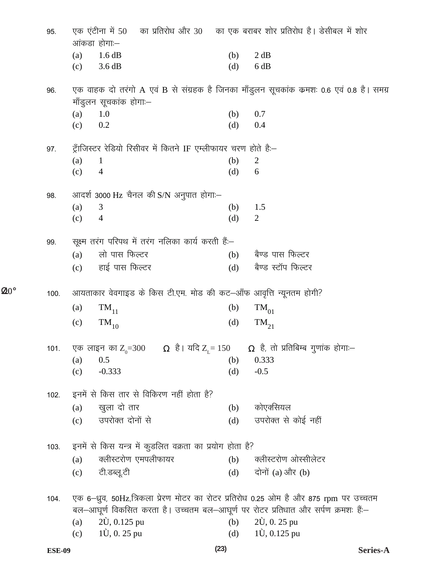| 95.  | एक एंटीना में 50       |                       |                                                                 |     | का प्रतिरोध और 30 का एक बराबर शोर प्रतिरोध है। डेसीबल में शोर                                                                                                              |
|------|------------------------|-----------------------|-----------------------------------------------------------------|-----|----------------------------------------------------------------------------------------------------------------------------------------------------------------------------|
|      | आंकडा होगा:–           |                       |                                                                 |     |                                                                                                                                                                            |
|      | (a)                    | 1.6 dB                |                                                                 | (b) | 2 dB                                                                                                                                                                       |
|      | (c)                    | 3.6 dB                |                                                                 | (d) | 6 dB                                                                                                                                                                       |
| 96.  |                        |                       |                                                                 |     | एक वाहक दो तरंगो A एवं B से संग्रहक है जिनका माँडुलन सूचकांक क्रमशः 0.6 एवं 0.8 है। समग्र                                                                                  |
|      | मॉंडुलन सूचकांक होगाः– |                       |                                                                 |     |                                                                                                                                                                            |
|      | 1.0<br>(a)             |                       |                                                                 | (b) | 0.7                                                                                                                                                                        |
|      | 0.2<br>(c)             |                       |                                                                 | (d) | 0.4                                                                                                                                                                        |
| 97.  |                        |                       | ट्राँजिस्टर रेडियो रिसीवर में कितने IF एम्लीफायर चरण होते हैं:– |     |                                                                                                                                                                            |
|      | (a)<br>$\mathbf{1}$    |                       |                                                                 | (b) | $\overline{2}$                                                                                                                                                             |
|      | (c)<br>4               |                       |                                                                 | (d) | 6                                                                                                                                                                          |
| 98.  |                        |                       | आदर्श 3000 Hz चैनल की S/N अनुपात होगा:-                         |     |                                                                                                                                                                            |
|      | (a)<br>3               |                       |                                                                 | (b) | 1.5                                                                                                                                                                        |
|      | $\overline{4}$<br>(c)  |                       |                                                                 | (d) | $\overline{2}$                                                                                                                                                             |
| 99.  |                        |                       | सूक्ष्म तरंग परिपथ में तरंग नलिका कार्य करती हैं:-              |     |                                                                                                                                                                            |
|      | (a)                    | लो पास फिल्टर         |                                                                 | (b) | बैण्ड पास फिल्टर                                                                                                                                                           |
|      | (c)                    | हाई पास फिल्टर        |                                                                 | (d) | बैण्ड स्टॉप फिल्टर                                                                                                                                                         |
| 100. |                        |                       |                                                                 |     | आयताकार वेवगाइड के किस टी.एम. मोड की कट–आँफ आवृत्ति न्यूनतम होगी?                                                                                                          |
|      | (a)                    | $\rm{TM}_{11}$        |                                                                 | (b) | $\rm TM_{01}$                                                                                                                                                              |
|      | (c)                    | $\rm{TM}_{10}$        |                                                                 | (d) | $TM_{21}$                                                                                                                                                                  |
| 101. |                        |                       |                                                                 |     | एक लाइन का Z <sub>0</sub> =300      Ω  है। यदि Z <sub>L</sub> = 150      Ω  है, तो प्रतिबिम्ब गुणांक होगा:—                                                                |
|      | 0.5<br>(a)             |                       |                                                                 | (b) | 0.333                                                                                                                                                                      |
|      | (c)                    | $-0.333$              |                                                                 | (d) | $-0.5$                                                                                                                                                                     |
| 102. |                        |                       | इनमें से किस तार से विकिरण नहीं होता है?                        |     |                                                                                                                                                                            |
|      | (a)                    | खुला दो तार           |                                                                 | (b) | कोएक्सियल                                                                                                                                                                  |
|      | (c)                    | उपरोक्त दोनों से      |                                                                 | (d) | उपरोक्त से कोई नहीं                                                                                                                                                        |
| 103. |                        |                       | इनमें से किस यन्त्र में कुडलित वक्रता का प्रयोग होता है?        |     |                                                                                                                                                                            |
|      | (a)                    |                       | क्लीस्टरोण एमपलीफायर                                            | (b) | क्लीस्टरोण ओस्सीलेटर                                                                                                                                                       |
|      | (c)                    | टी.डब्लू.टी           |                                                                 | (d) | दोनों (a) और (b)                                                                                                                                                           |
|      |                        |                       |                                                                 |     |                                                                                                                                                                            |
| 104. |                        |                       |                                                                 |     | एक 6-ध्रुव, 50Hz,त्रिकला प्रेरण मोटर का रोटर प्रतिरोध 0.25 ओम है और 875 rpm पर उच्चतम<br>बल-आघूर्ण विकसित करता है। उच्चतम बल-आघूर्ण पर रोटर प्रतिधात और सर्पण क्रमशः हैं:- |
|      | (a)                    | $2\dot{U}$ , 0.125 pu |                                                                 | (b) | $2\dot{U}$ , 0. 25 pu                                                                                                                                                      |
|      | (c)                    | $1\hat{U}$ , 0. 25 pu |                                                                 | (d) | $1\dot{U}$ , 0.125 pu                                                                                                                                                      |
|      |                        |                       |                                                                 |     |                                                                                                                                                                            |

 $\Omega$ <sup>o</sup>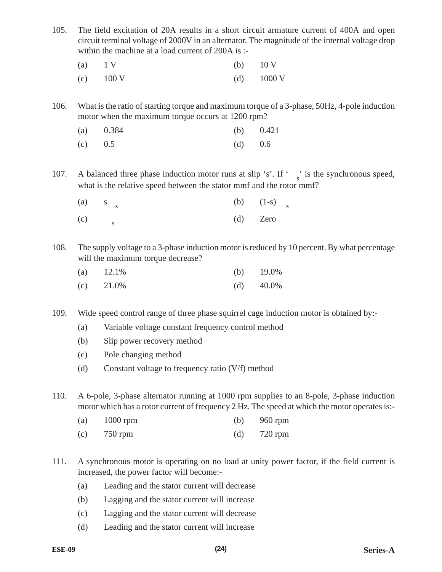105. The field excitation of 20A results in a short circuit armature current of 400A and open circuit terminal voltage of 2000V in an alternator. The magnitude of the internal voltage drop within the machine at a load current of 200A is :-

| (a) $1 \text{ V}$   | (b) $10 \text{ V}$   |
|---------------------|----------------------|
| (c) $100 \text{ V}$ | (d) $1000 \text{ V}$ |

106. What is the ratio of starting torque and maximum torque of a 3-phase, 50Hz, 4-pole induction motor when the maximum torque occurs at 1200 rpm?

|  | (a) $0.384$ |  |  | (b) $0.421$ |
|--|-------------|--|--|-------------|
|--|-------------|--|--|-------------|

- (c)  $0.5$  (d)  $0.6$
- 107. A balanced three phase induction motor runs at slip 's'. If ' $\frac{1}{s}$  is the synchronous speed, what is the relative speed between the stator mmf and the rotor mmf?

|     | $(a)$ s <sub>s</sub> | (b) $(1-s)$ |  |
|-----|----------------------|-------------|--|
| (c) |                      | $(d)$ Zero  |  |

s<br>y voltage to a 3-phase induction motor is reduced by 10 percent. By what percentage<br>aximum torque decrease?<br>(b) 19.0%<br>(d) 40.0% 108. The supply voltage to a 3-phase induction motor is reduced by 10 percent. By what percentage will the maximum torque decrease?

| (a) $12.1\%$ | (b) $19.0\%$ |
|--------------|--------------|
| $(c)$ 21.0%  | (d) $40.0\%$ |

109. Wide speed control range of three phase squirrel cage induction motor is obtained by:-

- (a) Variable voltage constant frequency control method
- (b) Slip power recovery method
- (c) Pole changing method
- (d) Constant voltage to frequency ratio (V/f) method

110. A 6-pole, 3-phase alternator running at 1000 rpm supplies to an 8-pole, 3-phase induction motor which has a rotor current of frequency 2 Hz. The speed at which the motor operates is:-

| $1000$ rpm<br>(a) | (b) | 960 rpm |
|-------------------|-----|---------|
|-------------------|-----|---------|

- (c) 750 rpm (d) 720 rpm
- 111. A synchronous motor is operating on no load at unity power factor, if the field current is increased, the power factor will become:-
	- (a) Leading and the stator current will decrease
	- (b) Lagging and the stator current will increase
	- (c) Lagging and the stator current will decrease
	- (d) Leading and the stator current will increase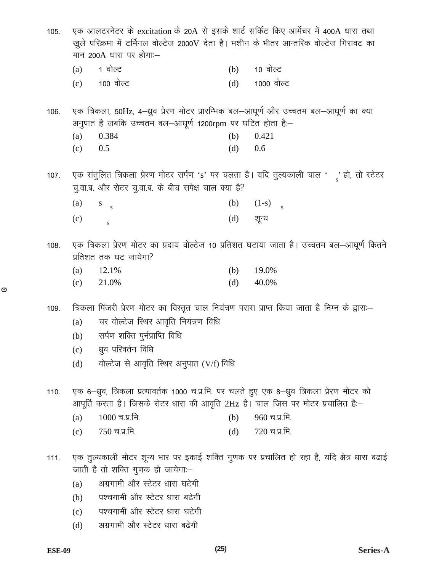| 105. |     | एक आलटरनेटर के excitation के 20A से इसके शार्ट सर्किट किए आर्मेचर में 400A धारा तथा<br>खुले परिक्रमा में टर्मिनल वोल्टेज 2000V देता है। मशीन के भीतर आन्तरिक वोल्टेज गिरावट का<br>मान 200A धारा पर होगा:— |     |                                                                                             |
|------|-----|-----------------------------------------------------------------------------------------------------------------------------------------------------------------------------------------------------------|-----|---------------------------------------------------------------------------------------------|
|      | (a) | 1 वोल्ट                                                                                                                                                                                                   | (b) | 10 वोल्ट                                                                                    |
|      |     | (c) 100 वोल्ट                                                                                                                                                                                             | (d) | 1000 वोल्ट                                                                                  |
| 106. |     | एक त्रिकला, 50Hz, 4–ध्रुव प्रेरण मोटर प्रारम्भिक बल–आघूर्ण और उच्चतम बल–आघूर्ण का क्या                                                                                                                    |     |                                                                                             |
|      |     | अनुपात है जबकि उच्चतम बल—आघूर्ण 1200rpm पर घटित होता है:—                                                                                                                                                 |     |                                                                                             |
|      | (a) | 0.384                                                                                                                                                                                                     | (b) | 0.421                                                                                       |
|      | (c) | 0.5                                                                                                                                                                                                       | (d) | 0.6                                                                                         |
| 107. |     | चु.वा.ब. और रोटर चु.वा.ब. के बीच सपेक्ष चाल क्या है?                                                                                                                                                      |     | एक संतुलित त्रिकला प्रेरण मोटर सर्पण 's' पर चलता है। यदि तुल्यकाली चाल '़' हो, तो स्टेटर    |
|      | (a) | $S_{S}$                                                                                                                                                                                                   | (b) | $(1-s)$                                                                                     |
|      | (c) | $\mathbf S$                                                                                                                                                                                               | (d) | शून्य                                                                                       |
| 108. |     | प्रतिशत तक घट जायेगा?                                                                                                                                                                                     |     | एक त्रिकला प्रेरण मोटर का प्रदाय वोल्टेज 10 प्रतिशत घटाया जाता है। उच्चतम बल-आघूर्ण कितने   |
|      | (a) | 12.1%                                                                                                                                                                                                     | (b) | 19.0%                                                                                       |
|      | (c) | 21.0%                                                                                                                                                                                                     | (d) | 40.0%                                                                                       |
| 109. |     | त्रिकला पिंजरी प्रेरण मोटर का विस्तृत चाल नियंत्रण परास प्राप्त किया जाता है निम्न के द्वारा:-                                                                                                            |     |                                                                                             |
|      | (a) | चर वोल्टेज स्थिर आवृति नियंत्रण विधि                                                                                                                                                                      |     |                                                                                             |
|      | (b) | सर्पण शक्ति पुर्नप्राप्ति विधि                                                                                                                                                                            |     |                                                                                             |
|      |     | (c) ध्रुव परिवर्तन विधि                                                                                                                                                                                   |     |                                                                                             |
|      | (d) | वोल्टेज से आवृति स्थिर अनुपात (V/f) विधि                                                                                                                                                                  |     |                                                                                             |
| 110. |     | एक 6–ध्रुव, त्रिकला प्रत्यावर्तक 1000 च.प्र.मि. पर चलते हुए एक 8–ध्रुव त्रिकला प्रेरण मोटर को<br>आपूर्ति करता है। जिसके रोटर धारा की आवृति 2Hz है। चाल जिस पर मोटर प्रचालित है:–                          |     |                                                                                             |
|      | (a) | $1000$ च.प्र.मि.                                                                                                                                                                                          | (b) | 960 च.प्र.मि.                                                                               |
|      | (c) | 750 च.प्र.मि.                                                                                                                                                                                             | (d) | 720 च.प्र.मि.                                                                               |
| 111. |     | जाती है तो शक्ति गुणक हो जायेगा:—                                                                                                                                                                         |     | एक तुल्यकाली मोटर शून्य भार पर इकाई शक्ति गुणक पर प्रचालित हो रहा है, यदि क्षेत्र धारा बढाई |
|      | (a) | अग्रगामी और स्टेटर धारा घटेगी                                                                                                                                                                             |     |                                                                                             |
|      | (b) | पश्चगामी और स्टेटर धारा बढेगी                                                                                                                                                                             |     |                                                                                             |
|      | (c) | पश्चगामी और स्टेटर धारा घटेगी                                                                                                                                                                             |     |                                                                                             |
|      | (d) | अग्रगामी और स्टेटर धारा बढेगी                                                                                                                                                                             |     |                                                                                             |
|      |     | (25)                                                                                                                                                                                                      |     | $_{\rm Coulong}$ $_{\rm A}$                                                                 |

 $\omega$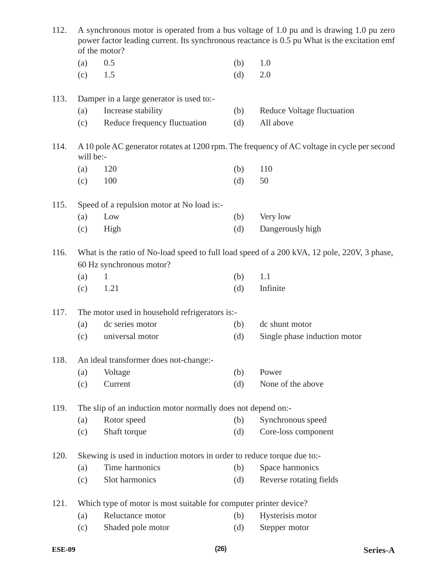| 112. | A synchronous motor is operated from a bus voltage of 1.0 pu and is drawing 1.0 pu zero<br>power factor leading current. Its synchronous reactance is 0.5 pu What is the excitation emf<br>of the motor? |                                                                        |     |                                                                                             |  |  |
|------|----------------------------------------------------------------------------------------------------------------------------------------------------------------------------------------------------------|------------------------------------------------------------------------|-----|---------------------------------------------------------------------------------------------|--|--|
|      | (a)                                                                                                                                                                                                      | 0.5                                                                    | (b) | 1.0                                                                                         |  |  |
|      | (c)                                                                                                                                                                                                      | 1.5                                                                    | (d) | 2.0                                                                                         |  |  |
| 113. |                                                                                                                                                                                                          | Damper in a large generator is used to:-                               |     |                                                                                             |  |  |
|      | (a)                                                                                                                                                                                                      | Increase stability                                                     | (b) | Reduce Voltage fluctuation                                                                  |  |  |
|      | (c)                                                                                                                                                                                                      | Reduce frequency fluctuation                                           | (d) | All above                                                                                   |  |  |
| 114. | will be:-                                                                                                                                                                                                |                                                                        |     | A 10 pole AC generator rotates at 1200 rpm. The frequency of AC voltage in cycle per second |  |  |
|      | (a)                                                                                                                                                                                                      | 120                                                                    | (b) | 110                                                                                         |  |  |
|      | (c)                                                                                                                                                                                                      | 100                                                                    | (d) | 50                                                                                          |  |  |
| 115. |                                                                                                                                                                                                          | Speed of a repulsion motor at No load is:-                             |     |                                                                                             |  |  |
|      | (a)                                                                                                                                                                                                      | Low                                                                    | (b) | Very low                                                                                    |  |  |
|      | (c)                                                                                                                                                                                                      | High                                                                   | (d) | Dangerously high                                                                            |  |  |
| 116. | What is the ratio of No-load speed to full load speed of a 200 kVA, 12 pole, 220V, 3 phase,<br>60 Hz synchronous motor?                                                                                  |                                                                        |     |                                                                                             |  |  |
|      | (a)                                                                                                                                                                                                      | $\mathbf{1}$                                                           | (b) | 1.1                                                                                         |  |  |
|      | (c)                                                                                                                                                                                                      | 1.21                                                                   | (d) | Infinite                                                                                    |  |  |
| 117. |                                                                                                                                                                                                          | The motor used in household refrigerators is:-                         |     |                                                                                             |  |  |
|      | (a)                                                                                                                                                                                                      | dc series motor                                                        | (b) | dc shunt motor                                                                              |  |  |
|      | (c)                                                                                                                                                                                                      | universal motor                                                        | (d) | Single phase induction motor                                                                |  |  |
| 118. | An ideal transformer does not-change:-                                                                                                                                                                   |                                                                        |     |                                                                                             |  |  |
|      | (a)                                                                                                                                                                                                      | Voltage                                                                | (b) | Power                                                                                       |  |  |
|      | (c)                                                                                                                                                                                                      | Current                                                                | (d) | None of the above                                                                           |  |  |
| 119. | The slip of an induction motor normally does not depend on:-                                                                                                                                             |                                                                        |     |                                                                                             |  |  |
|      | (a)                                                                                                                                                                                                      | Rotor speed                                                            | (b) | Synchronous speed                                                                           |  |  |
|      | (c)                                                                                                                                                                                                      | Shaft torque                                                           | (d) | Core-loss component                                                                         |  |  |
| 120. |                                                                                                                                                                                                          | Skewing is used in induction motors in order to reduce torque due to:- |     |                                                                                             |  |  |
|      | (a)                                                                                                                                                                                                      | Time harmonics                                                         | (b) | Space harmonics                                                                             |  |  |
|      | (c)                                                                                                                                                                                                      | Slot harmonics                                                         | (d) | Reverse rotating fields                                                                     |  |  |
| 121. |                                                                                                                                                                                                          | Which type of motor is most suitable for computer printer device?      |     |                                                                                             |  |  |
|      | (a)                                                                                                                                                                                                      | Reluctance motor                                                       | (b) | Hysterisis motor                                                                            |  |  |
|      | (c)                                                                                                                                                                                                      | Shaded pole motor                                                      | (d) | Stepper motor                                                                               |  |  |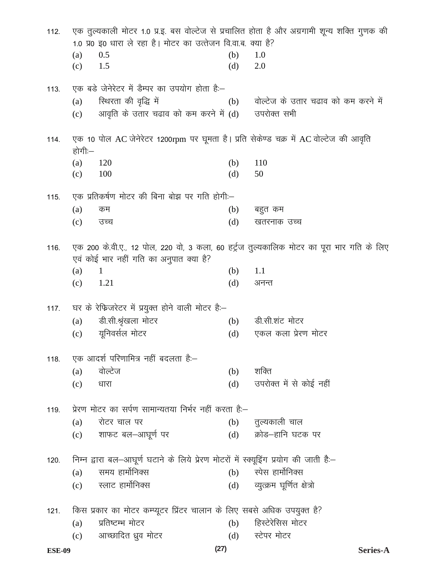| 121. |            | किस प्रकार का मोटर कम्प्यूटर प्रिंटर चालान के लिए सबसे अधिक उपयुक्त है?                 |            |                                                                                             |
|------|------------|-----------------------------------------------------------------------------------------|------------|---------------------------------------------------------------------------------------------|
|      | (c)        | स्लाट हार्मोनिक्स                                                                       |            | (d) व्युत्क्रम घूर्णित क्षेत्रो                                                             |
|      | (a)        | समय हार्मोनिक्स                                                                         | (b)        | स्पेस हार्मोनिक्स                                                                           |
| 120. |            | निम्न द्वारा बल-आघूर्ण घटाने के लिये प्रेरण मोटरों में स्क्यूड्रिंग प्रयोग की जाती है:- |            |                                                                                             |
|      | (c)        |                                                                                         |            |                                                                                             |
|      |            | शाफट बल–आघूर्ण पर                                                                       | (d)        | क्रोड–हानि घटक पर                                                                           |
| 119. | (a)        | प्रेरण मोटर का सर्पण सामान्यतया निर्भर नहीं करता है:–<br>रोटर चाल पर                    | (b)        | तुल्यकाली चाल                                                                               |
|      |            |                                                                                         |            |                                                                                             |
|      | (c)        | धारा                                                                                    | (d)        | उपरोक्त में से कोई नहीं                                                                     |
|      | (a)        | वोल्टेज                                                                                 | (b)        | शक्ति                                                                                       |
| 118. |            | एक आदर्श परिणामित्र नहीं बदलता है:–                                                     |            |                                                                                             |
|      | (c)        | यूनिवर्सल मोटर                                                                          | (d)        | एकल कला प्रेरण मोटर                                                                         |
|      | (a)        | डी.सी.श्रृंखला मोटर                                                                     | (b)        | डी.सी.शंट मोटर                                                                              |
| 117. |            | घर के रेफिजरेटर में प्रयुक्त होने वाली मोटर है:-                                        |            |                                                                                             |
|      |            |                                                                                         |            |                                                                                             |
|      | (a)<br>(c) | 1.21                                                                                    | (b)<br>(d) | 1.1<br>अनन्त                                                                                |
|      |            | एवं कोई भार नहीं गति का अनुपात क्या है?<br>$\mathbf{1}$                                 |            |                                                                                             |
| 116. |            |                                                                                         |            | एक 200 के.वी.ए., 12 पोल, 220 वो, 3 कला, 60 हर्ट्रज तुल्यकालिक मोटर का पूरा भार गति के लिए   |
|      |            |                                                                                         |            |                                                                                             |
|      | (c)        | उच्च                                                                                    | (d)        | खतरनाक उच्च                                                                                 |
|      | (a)        | कम                                                                                      | (b)        | बहुत कम                                                                                     |
| 115. |            | एक प्रतिकर्षण मोटर की बिना बोझ पर गति होगी:—                                            |            |                                                                                             |
|      | (c)        | 100                                                                                     | (d)        | 50                                                                                          |
|      | (a)        | 120                                                                                     | (b)        | 110                                                                                         |
| 114. | होगी:—     | एक 10 पोल AC जेनेरेटर 1200rpm पर घूमता है। प्रति सेकेण्ड चक्र में AC वोल्टेज की आवृति   |            |                                                                                             |
|      |            |                                                                                         |            |                                                                                             |
|      | (c)        | आवृति के उतार चढाव को कम करने में (d) जपरोक्त सभी                                       |            |                                                                                             |
|      | (a)        | स्थिरता की वृद्धि में                                                                   | (b)        | वोल्टेज के उतार चढाव को कम करने में                                                         |
| 113. |            | एक बड़े जेनेरेटर में डैम्पर का उपयोग होता है:–                                          |            |                                                                                             |
|      | (c)        | 1.5                                                                                     | (d)        | 2.0                                                                                         |
|      | (a)        | 0.5                                                                                     | (b)        | 1.0                                                                                         |
|      |            | 1.0 प्र0 इ0 धारा ले रहा है। मोटर का उत्तेजन वि.वा.ब. क्या है?                           |            |                                                                                             |
| 112. |            |                                                                                         |            | एक तुल्यकाली मोटर 1.0 प्र.इ. बस वोल्टेज से प्रचालित होता है और अग्रगामी शून्य शक्ति गुणक की |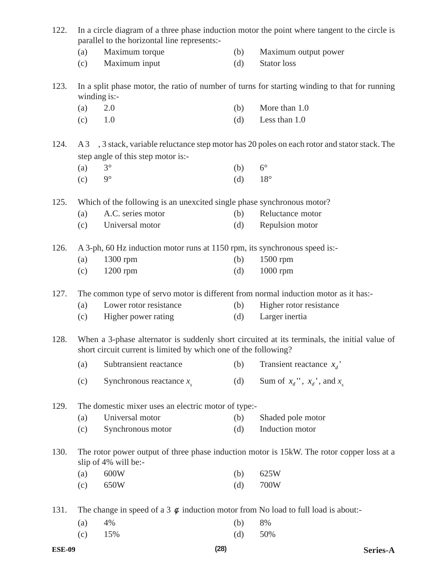| 122. |     | parallel to the horizontal line represents:-                                           |     | In a circle diagram of a three phase induction motor the point where tangent to the circle is  |
|------|-----|----------------------------------------------------------------------------------------|-----|------------------------------------------------------------------------------------------------|
|      | (a) | Maximum torque                                                                         | (b) | Maximum output power                                                                           |
|      | (c) | Maximum input                                                                          | (d) | <b>Stator</b> loss                                                                             |
| 123. |     | winding is:-                                                                           |     | In a split phase motor, the ratio of number of turns for starting winding to that for running  |
|      | (a) | 2.0                                                                                    | (b) | More than 1.0                                                                                  |
|      | (c) | 1.0                                                                                    | (d) | Less than 1.0                                                                                  |
| 124. |     | step angle of this step motor is:-                                                     |     | A 3 , 3 stack, variable reluctance step motor has 20 poles on each rotor and stator stack. The |
|      | (a) | $3^\circ$                                                                              | (b) | $6^{\circ}$                                                                                    |
|      | (c) | $9^\circ$                                                                              | (d) | $18^{\circ}$                                                                                   |
| 125. |     | Which of the following is an unexcited single phase synchronous motor?                 |     |                                                                                                |
|      | (a) | A.C. series motor                                                                      | (b) | Reluctance motor                                                                               |
|      | (c) | Universal motor                                                                        | (d) | Repulsion motor                                                                                |
| 126. |     | A 3-ph, 60 Hz induction motor runs at 1150 rpm, its synchronous speed is:-             |     |                                                                                                |
|      | (a) | 1300 rpm                                                                               | (b) | 1500 rpm                                                                                       |
|      | (c) | 1200 rpm                                                                               | (d) | 1000 rpm                                                                                       |
|      |     |                                                                                        |     |                                                                                                |
| 127. |     | The common type of servo motor is different from normal induction motor as it has:-    |     |                                                                                                |
|      | (a) | Lower rotor resistance                                                                 | (b) | Higher rotor resistance                                                                        |
|      | (c) | Higher power rating                                                                    | (d) | Larger inertia                                                                                 |
| 128. |     | short circuit current is limited by which one of the following?                        |     | When a 3-phase alternator is suddenly short circuited at its terminals, the initial value of   |
|      | (a) | Subtransient reactance                                                                 | (b) | Transient reactance $x_d$ '                                                                    |
|      | (c) | Synchronous reactance $x_{s}$                                                          | (d) | Sum of $x_d$ ", $x_d$ ', and $x_s$                                                             |
| 129. |     | The domestic mixer uses an electric motor of type:-                                    |     |                                                                                                |
|      | (a) | Universal motor                                                                        | (b) | Shaded pole motor                                                                              |
|      | (c) | Synchronous motor                                                                      | (d) | Induction motor                                                                                |
| 130. |     | slip of 4% will be:-                                                                   |     | The rotor power output of three phase induction motor is 15kW. The rotor copper loss at a      |
|      | (a) | 600W                                                                                   | (b) | 625W                                                                                           |
|      | (c) | 650W                                                                                   | (d) | 700W                                                                                           |
| 131. |     | The change in speed of a 3 $\phi$ induction motor from No load to full load is about:- |     |                                                                                                |
|      | (a) | 4%                                                                                     | (b) | 8%                                                                                             |
|      | (c) | 15%                                                                                    | (d) | 50%                                                                                            |
|      |     |                                                                                        |     |                                                                                                |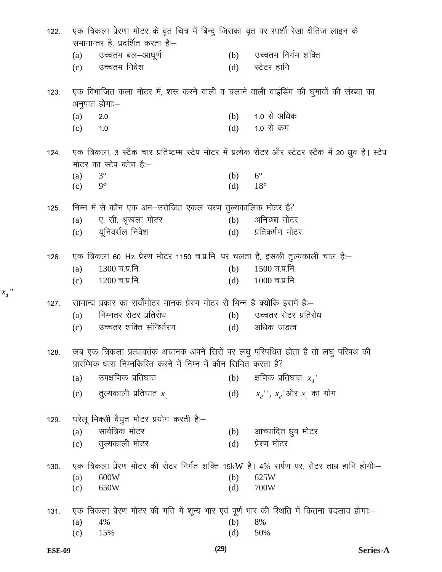| 122. |     | एक त्रिकला प्रेरणा मोटर के वृत चित्र में बिन्दु जिसका वृत पर स्पर्शी रेखा क्षैतिज लाइन के                                                              |     |                                                                                                         |
|------|-----|--------------------------------------------------------------------------------------------------------------------------------------------------------|-----|---------------------------------------------------------------------------------------------------------|
|      |     | समानान्तर है, प्रदर्शित करता है:-                                                                                                                      |     |                                                                                                         |
|      | (a) | उच्चतम बल–आघूर्ण                                                                                                                                       |     | (b) उच्चतम निर्गम शक्ति                                                                                 |
|      | (c) | उच्चतम निवेश                                                                                                                                           | (d) | स्टेटर हानि                                                                                             |
| 123. |     | एक विभाजित कला मोटर में, शरू करने वाली व चलाने वाली वाइंडिंग की घुमावों की संख्या का                                                                   |     |                                                                                                         |
|      |     | अनुपात होगा:–                                                                                                                                          |     |                                                                                                         |
|      | (a) | 2.0                                                                                                                                                    | (b) | 1.0 से अधिक                                                                                             |
|      | (c) | 1.0                                                                                                                                                    | (d) | 1.0 से कम                                                                                               |
| 124. |     |                                                                                                                                                        |     | एक त्रिकला, 3 स्टैक चार प्रतिष्टम्भ स्टेप मोटर में प्रत्येक रोटर और स्टेटर स्टैक में 20 ध्रुव है। स्टेप |
|      |     | मोटर का स्टेप कोण है:–                                                                                                                                 |     |                                                                                                         |
|      | (a) | $3^\circ$                                                                                                                                              | (b) | $6^{\circ}$                                                                                             |
|      | (c) | $9^\circ$                                                                                                                                              | (d) | $18^{\circ}$                                                                                            |
| 125. |     | निम्न में से कौन एक अन-उत्तेजित एकल चरण तुल्यकालिक मोटर है?                                                                                            |     |                                                                                                         |
|      | (a) | ए. सी. श्रृखंला मोटर                                                                                                                                   | (b) | अनिच्छा मोटर                                                                                            |
|      | (c) | यूनिवर्सल निवेश                                                                                                                                        | (d) | प्रतिकर्षण मोटर                                                                                         |
| 126. |     | एक त्रिकला 60 Hz प्रेरण मोटर 1150 च.प्र.मि. पर चलता है, इसकी तुल्यकाली चाल हैं:-                                                                       |     |                                                                                                         |
|      | (a) | 1300 च.प्र.मि.                                                                                                                                         | (b) | 1500 च.प्र.मि.                                                                                          |
|      | (c) | 1200 च.प्र.मि.                                                                                                                                         | (d) | $1000$ च.प्र.मि.                                                                                        |
| 127. |     | सामान्य प्रकार का सर्वोमोटर मानक प्रेरण मोटर से भिन्न है क्योंकि इसमें है:—                                                                            |     |                                                                                                         |
|      | (a) | निम्नतर रोटर प्रतिरोध                                                                                                                                  |     | (b) उच्चतर रोटर प्रतिरोध                                                                                |
|      | (c) | उच्चतर शक्ति संनिर्धारण                                                                                                                                | (d) | अधिक जड़त्व                                                                                             |
| 128. |     | जब एक त्रिकला प्रत्यावर्तक अचानक अपने सिरों पर लघु परिपथित होता है तो लघु परिपथ की<br>प्रारम्भिक धारा निम्नकिरित करने में निम्न में कौन सिमित करता है? |     |                                                                                                         |
|      | (a) | उपक्षणिक प्रतिघात                                                                                                                                      | (b) | क्षणिक प्रतिघात $x_a$ '                                                                                 |
|      | (c) | तुल्यकाली प्रतिघात $x_{\scriptscriptstyle\rm g}$                                                                                                       | (d) | $x_d$ ", $x_d$ 'और $x_s$ का योग                                                                         |
| 129. |     | घरेलू मिक्सी वैघुत मोटर प्रयोग करती है:–                                                                                                               |     |                                                                                                         |
|      | (a) | सार्वत्रिक मोटर                                                                                                                                        | (b) | आच्घादित ध्रुव मोटर                                                                                     |
|      | (c) | तुल्यकाली मोटर                                                                                                                                         | (d) | प्रेरण मोटर                                                                                             |
|      |     |                                                                                                                                                        |     |                                                                                                         |
| 130. |     |                                                                                                                                                        |     | एक त्रिकला प्रेरण मोटर की रोटर निर्गत शक्ति 15kW है। 4% सर्पण पर, रोटर ताम्र हानि होगी:-                |
|      | (a) | 600W                                                                                                                                                   | (b) | 625W                                                                                                    |
|      | (c) | 650W                                                                                                                                                   | (d) | 700W                                                                                                    |
| 131. |     | एक त्रिकला प्रेरण मोटर की गति में शून्य भार एवं पूर्ण भार की स्थिति में कितना बदलाव होगा:-                                                             |     |                                                                                                         |
|      | (a) | 4%                                                                                                                                                     | (b) | 8%                                                                                                      |
|      | (c) | 15%                                                                                                                                                    | (d) | 50%                                                                                                     |

 $x_d$ "

 $(29)$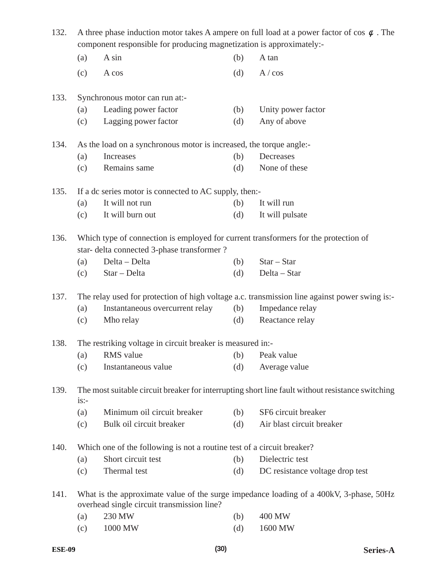| 132. | A three phase induction motor takes A ampere on full load at a power factor of cos $\phi$ . The<br>component responsible for producing magnetization is approximately:- |                                                                                                                                    |     |                                                                                                  |
|------|-------------------------------------------------------------------------------------------------------------------------------------------------------------------------|------------------------------------------------------------------------------------------------------------------------------------|-----|--------------------------------------------------------------------------------------------------|
|      | (a)                                                                                                                                                                     | A sin                                                                                                                              | (b) | A tan                                                                                            |
|      | (c)                                                                                                                                                                     | A cos                                                                                                                              | (d) | A / cos                                                                                          |
| 133. |                                                                                                                                                                         | Synchronous motor can run at:-                                                                                                     |     |                                                                                                  |
|      | (a)                                                                                                                                                                     | Leading power factor                                                                                                               | (b) | Unity power factor                                                                               |
|      | (c)                                                                                                                                                                     | Lagging power factor                                                                                                               | (d) | Any of above                                                                                     |
| 134. |                                                                                                                                                                         | As the load on a synchronous motor is increased, the torque angle:-                                                                |     |                                                                                                  |
|      | (a)                                                                                                                                                                     | Increases                                                                                                                          | (b) | Decreases                                                                                        |
|      | (c)                                                                                                                                                                     | Remains same                                                                                                                       | (d) | None of these                                                                                    |
| 135. |                                                                                                                                                                         | If a dc series motor is connected to AC supply, then:-                                                                             |     |                                                                                                  |
|      | (a)                                                                                                                                                                     | It will not run                                                                                                                    | (b) | It will run                                                                                      |
|      | (c)                                                                                                                                                                     | It will burn out                                                                                                                   | (d) | It will pulsate                                                                                  |
| 136. |                                                                                                                                                                         | Which type of connection is employed for current transformers for the protection of<br>star- delta connected 3-phase transformer ? |     |                                                                                                  |
|      | (a)                                                                                                                                                                     | Delta - Delta                                                                                                                      | (b) | $Star - Star$                                                                                    |
|      | (c)                                                                                                                                                                     | Star - Delta                                                                                                                       | (d) | Delta - Star                                                                                     |
| 137. |                                                                                                                                                                         |                                                                                                                                    |     | The relay used for protection of high voltage a.c. transmission line against power swing is:-    |
|      | (a)                                                                                                                                                                     | Instantaneous overcurrent relay                                                                                                    | (b) | Impedance relay                                                                                  |
|      | (c)                                                                                                                                                                     | Mho relay                                                                                                                          | (d) | Reactance relay                                                                                  |
| 138. |                                                                                                                                                                         | The restriking voltage in circuit breaker is measured in:-                                                                         |     |                                                                                                  |
|      | (a)                                                                                                                                                                     | <b>RMS</b> value                                                                                                                   | (b) | Peak value                                                                                       |
|      | (c)                                                                                                                                                                     | Instantaneous value                                                                                                                | (d) | Average value                                                                                    |
| 139. | $is:-$                                                                                                                                                                  |                                                                                                                                    |     | The most suitable circuit breaker for interrupting short line fault without resistance switching |
|      | (a)                                                                                                                                                                     | Minimum oil circuit breaker                                                                                                        | (b) | SF6 circuit breaker                                                                              |
|      | (c)                                                                                                                                                                     | Bulk oil circuit breaker                                                                                                           | (d) | Air blast circuit breaker                                                                        |
| 140. |                                                                                                                                                                         | Which one of the following is not a routine test of a circuit breaker?                                                             |     |                                                                                                  |
|      | (a)                                                                                                                                                                     | Short circuit test                                                                                                                 | (b) | Dielectric test                                                                                  |
|      | (c)                                                                                                                                                                     | Thermal test                                                                                                                       | (d) | DC resistance voltage drop test                                                                  |
| 141. |                                                                                                                                                                         | overhead single circuit transmission line?                                                                                         |     | What is the approximate value of the surge impedance loading of a 400kV, 3-phase, 50Hz           |
|      | (a)                                                                                                                                                                     | 230 MW                                                                                                                             | (b) | 400 MW                                                                                           |
|      | (c)                                                                                                                                                                     | 1000 MW                                                                                                                            | (d) | 1600 MW                                                                                          |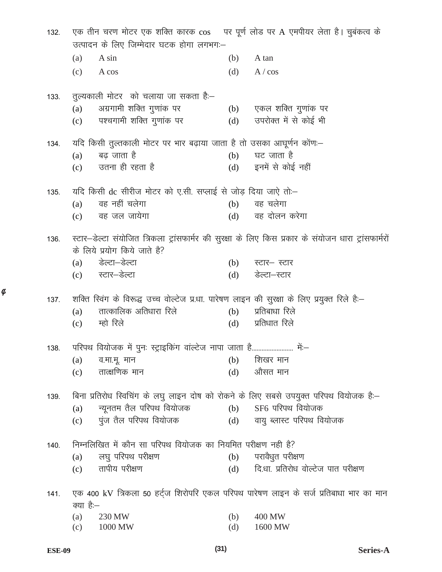| 132. | एक तीन चरण मोटर एक शक्ति कारक cos पर पूर्ण लोड पर A एमपीयर लेता है। चुबंकत्व के<br>उत्पादन के लिए जिम्मेदार घटक होगा लगभग:- |     |                                                                                                      |
|------|-----------------------------------------------------------------------------------------------------------------------------|-----|------------------------------------------------------------------------------------------------------|
|      |                                                                                                                             |     |                                                                                                      |
|      | (a)<br>A sin                                                                                                                | (b) | A tan                                                                                                |
|      | (c)<br>A cos                                                                                                                | (d) | A / cos                                                                                              |
| 133. | तुल्यकाली मोटर) को चलाया जा सकता है:—                                                                                       |     |                                                                                                      |
|      | अग्रगामी शक्ति गुणांक पर<br>(a)                                                                                             |     | (b) एकल शक्ति गुणांक पर                                                                              |
|      | पश्चगामी शक्ति गुणांक पर<br>(c)                                                                                             | (d) | उपरोक्त में से कोई भी                                                                                |
| 134. | यदि किसी तुल्तकाली मोटर पर भार बढ़ाया जाता है तो उसका आघूर्णन कोंण:—                                                        |     |                                                                                                      |
|      | बढ जाता है<br>(a)                                                                                                           | (b) | घट जाता है                                                                                           |
|      | उतना ही रहता है<br>(c)                                                                                                      |     | (d) इनमें से कोई नहीं                                                                                |
| 135. | यदि किसी dc सीरीज मोटर को ए.सी. सप्लाई से जोड़ दिया जाऐ तो—                                                                 |     |                                                                                                      |
|      | वह नहीं चलेगा<br>(a)                                                                                                        | (b) | वह चलेगा                                                                                             |
|      | वह जल जायेगा<br>(c)                                                                                                         | (d) | वह दोलन करेगा                                                                                        |
| 136. | के लिये प्रयोग किये जाते है?                                                                                                |     | स्टार–डेल्टा संयोजित त्रिकला ट्रांसफार्मर की सुरक्षा के लिए किस प्रकार के संयोजन धारा ट्रांसफार्मरों |
|      | डेल्टा–डेल्टा<br>(a)                                                                                                        | (b) | स्टार– स्टार                                                                                         |
|      | (c) स्टार–डेल्टा                                                                                                            | (d) | डेल्टा–स्टार                                                                                         |
| 137. | शक्ति स्विंग के विरूद्ध उच्च वोल्टेज प्र.धा. पारेषण लाइन की सुरक्षा के लिए प्रयुक्त रिले हैं:–                              |     |                                                                                                      |
|      | तात्कालिक अतिधारा रिले<br>(a)                                                                                               | (b) | प्रतिबाधा रिले                                                                                       |
|      | म्हो रिले<br>(c)                                                                                                            | (d) | प्रतिधात रिले                                                                                        |
| 138. | परिपथ वियोजक में पुनः स्ट्राइकिंग वाल्टेज नापा जाता है                                                                      |     | में —                                                                                                |
|      | (a) व.मा.मू. मान                                                                                                            |     | $(b)$ शिखर मान                                                                                       |
|      | तात्क्षणिक मान<br>(c)                                                                                                       | (d) | औसत मान                                                                                              |
| 139. | बिना प्रतिरोध स्विचिंग के लघु लाइन दोष को रोकने के लिए सबसे उपयुक्त परिपथ वियोजक है:-                                       |     |                                                                                                      |
|      | न्यूनतम तैल परिपथ वियोजक<br>(a)                                                                                             | (b) | SF6 परिपथ वियोजक                                                                                     |
|      | पुंज तैल परिपथ वियोजक<br>(c)                                                                                                |     | (d) वायु ब्लास्ट परिपथ वियोजक                                                                        |
| 140. | निम्नलिखित में कौन सा परिपथ वियोजक का नियमित परीक्षण नही है?                                                                |     |                                                                                                      |
|      | लघु परिपथ परीक्षण<br>(a)                                                                                                    |     | (b) परावैधुत परीक्षण                                                                                 |
|      | तापीय परीक्षण<br>(c)                                                                                                        | (d) | दि.धा. प्रतिरोध वोल्टेज पात परीक्षण                                                                  |
|      |                                                                                                                             |     |                                                                                                      |
| 141. | एक 400 kV त्रिकला 50 हर्ट्ज शिरोपरि एकल परिपथ पारेषण लाइन के सर्ज प्रतिबाधा भार का मान<br>क्या है:–                         |     |                                                                                                      |
|      | 230 MW<br>(a)                                                                                                               | (b) | 400 MW                                                                                               |
|      | 1000 MW<br>(c)                                                                                                              | (d) | 1600 MW                                                                                              |

 $\phi$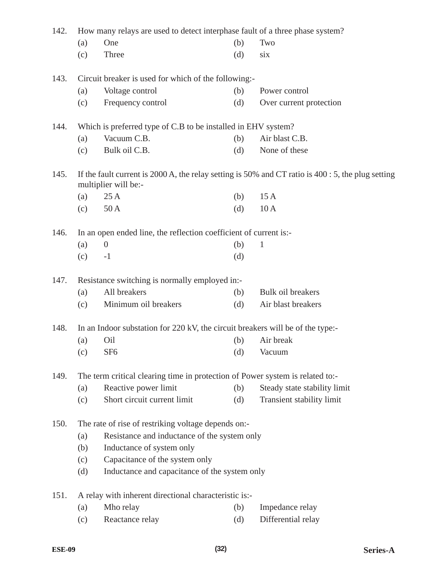| 142. | How many relays are used to detect interphase fault of a three phase system? |                                                                                |     |                                                                                                     |  |
|------|------------------------------------------------------------------------------|--------------------------------------------------------------------------------|-----|-----------------------------------------------------------------------------------------------------|--|
|      | (a)                                                                          | One                                                                            | (b) | Two                                                                                                 |  |
|      | (c)                                                                          | Three                                                                          | (d) | six                                                                                                 |  |
| 143. |                                                                              | Circuit breaker is used for which of the following:-                           |     |                                                                                                     |  |
|      | (a)                                                                          | Voltage control                                                                | (b) | Power control                                                                                       |  |
|      | (c)                                                                          | Frequency control                                                              | (d) | Over current protection                                                                             |  |
| 144. |                                                                              | Which is preferred type of C.B to be installed in EHV system?                  |     |                                                                                                     |  |
|      | (a)                                                                          | Vacuum C.B.                                                                    | (b) | Air blast C.B.                                                                                      |  |
|      | (c)                                                                          | Bulk oil C.B.                                                                  | (d) | None of these                                                                                       |  |
| 145. |                                                                              | multiplier will be:-                                                           |     | If the fault current is 2000 A, the relay setting is 50% and CT ratio is $400:5$ , the plug setting |  |
|      | (a)                                                                          | 25A                                                                            | (b) | 15A                                                                                                 |  |
|      | (c)                                                                          | 50A                                                                            | (d) | 10A                                                                                                 |  |
| 146. |                                                                              | In an open ended line, the reflection coefficient of current is:-              |     |                                                                                                     |  |
|      | (a)                                                                          | $\theta$                                                                       | (b) | 1                                                                                                   |  |
|      | (c)                                                                          | $-1$                                                                           | (d) |                                                                                                     |  |
| 147. |                                                                              | Resistance switching is normally employed in:-                                 |     |                                                                                                     |  |
|      | (a)                                                                          | All breakers                                                                   | (b) | Bulk oil breakers                                                                                   |  |
|      | (c)                                                                          | Minimum oil breakers                                                           | (d) | Air blast breakers                                                                                  |  |
| 148. |                                                                              | In an Indoor substation for 220 kV, the circuit breakers will be of the type:- |     |                                                                                                     |  |
|      | (a)                                                                          | Oil                                                                            | (b) | Air break                                                                                           |  |
|      | (c)                                                                          | SF <sub>6</sub>                                                                | (d) | Vacuum                                                                                              |  |
| 149. |                                                                              | The term critical clearing time in protection of Power system is related to:-  |     |                                                                                                     |  |
|      | (a)                                                                          | Reactive power limit                                                           | (b) | Steady state stability limit                                                                        |  |
|      | (c)                                                                          | Short circuit current limit                                                    | (d) | Transient stability limit                                                                           |  |
| 150. |                                                                              | The rate of rise of restriking voltage depends on:-                            |     |                                                                                                     |  |
|      | (a)                                                                          | Resistance and inductance of the system only                                   |     |                                                                                                     |  |
|      | (b)                                                                          | Inductance of system only                                                      |     |                                                                                                     |  |
|      | (c)                                                                          | Capacitance of the system only                                                 |     |                                                                                                     |  |
|      | (d)                                                                          | Inductance and capacitance of the system only                                  |     |                                                                                                     |  |
| 151. |                                                                              | A relay with inherent directional characteristic is:-                          |     |                                                                                                     |  |
|      | (a)                                                                          | Mho relay                                                                      | (b) | Impedance relay                                                                                     |  |
|      | (c)                                                                          | Reactance relay                                                                | (d) | Differential relay                                                                                  |  |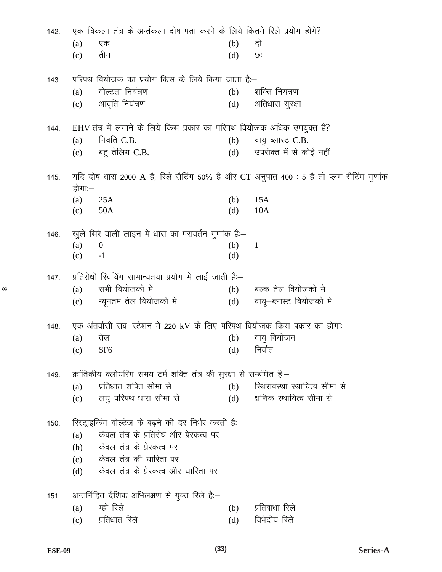| 142. |        | एक त्रिकला तंत्र के अर्न्तकला दोष पता करने के लिये कितने रिले प्रयोग होंगे? |     |                                                                                          |
|------|--------|-----------------------------------------------------------------------------|-----|------------------------------------------------------------------------------------------|
|      | (a)    | एक                                                                          | (b) | दो                                                                                       |
|      | (c)    | तीन                                                                         | (d) | ত:                                                                                       |
| 143. |        | परिपथ वियोजक का प्रयोग किस के लिये किया जाता है:–                           |     |                                                                                          |
|      | (a)    | वोल्टता नियंत्रण                                                            | (b) | शक्ति नियंत्रण                                                                           |
|      | (c)    | आवृति नियंत्रण                                                              | (d) | अतिधारा सुरक्षा                                                                          |
| 144. |        | EHV तंत्र में लगाने के लिये किस प्रकार का परिपथ वियोजक अधिक उपयुक्त है?     |     |                                                                                          |
|      | (a)    | निवति $C.B.$                                                                | (b) | वायु ब्लास्ट C.B.                                                                        |
|      | (c)    | बहु तेलिय C.B.                                                              | (d) | उपरोक्त में से कोई नहीं                                                                  |
| 145. | होगाः— |                                                                             |     | यदि दोष धारा 2000 A है, रिले सैटिंग 50% है और CT अनुपात 400 : 5 है तो प्लग सैटिंग गुणांक |
|      | (a)    | 25A                                                                         | (b) | 15A                                                                                      |
|      | (c)    | 50A                                                                         | (d) | 10A                                                                                      |
| 146. |        | खुले सिरे वाली लाइन मे धारा का परावर्तन गुणांक है:-                         |     |                                                                                          |
|      | (a)    | $\boldsymbol{0}$                                                            | (b) | $\mathbf{1}$                                                                             |
|      | (c)    | $-1$                                                                        | (d) |                                                                                          |
| 147. |        | प्रतिरोधी स्विचिंग सामान्यतया प्रयोग मे लाई जाती है:–                       |     |                                                                                          |
|      | (a)    | सभी वियोजको मे                                                              | (b) | बल्क तेल वियोजको मे                                                                      |
|      | (c)    | न्यूनतम तेल वियोजको मे                                                      | (d) | वायू–ब्लास्ट वियोजको मे                                                                  |
| 148. |        | एक अंतर्वासी सब-स्टेशन मे 220 kV के लिए परिपथ वियोजक किस प्रकार का होगा:–   |     |                                                                                          |
|      | (a)    | तेल                                                                         | (b) | वायु वियोजन                                                                              |
|      | (c)    | SF <sub>6</sub>                                                             |     | (d) निर्वात                                                                              |
| 149. |        | क्रांतिकीय क्लीयरिंग समय टर्म शक्ति तंत्र की सुरक्षा से सम्बंधित है:–       |     |                                                                                          |
|      | (a)    | प्रतिधात शक्ति सीमा से                                                      | (b) | स्थिरावस्था स्थायित्व सीमा से                                                            |
|      | (c)    | लघु परिपथ धारा सीमा से                                                      | (d) | क्षणिक स्थायित्व सीमा से                                                                 |
| 150. |        | रिस्ट्राइकिंग वोल्टेज के बढ़ने की दर निर्भर करती है:–                       |     |                                                                                          |
|      | (a)    | केवल तंत्र के प्रतिरोध और प्रेरकत्व पर                                      |     |                                                                                          |
|      | (b)    | केवल तंत्र के प्रेरकत्व पर                                                  |     |                                                                                          |
|      | (c)    | केवल तंत्र की घारिता पर                                                     |     |                                                                                          |
|      | (d)    | केवल तंत्र के प्रेरकत्व और घारिता पर                                        |     |                                                                                          |
| 151. |        | अन्तर्निहित दैशिक अभिलक्षण से युक्त रिले हैं:—                              |     |                                                                                          |
|      | (a)    | म्हो रिले                                                                   | (b) | प्रतिबाधा रिले                                                                           |
|      | (c)    | प्रतिधात रिले                                                               | (d) | विभेदीय रिले                                                                             |
|      |        |                                                                             |     |                                                                                          |

 $\infty$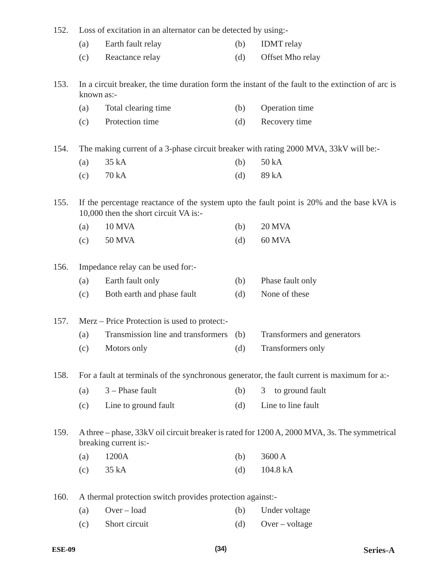| 152. |                                                                                                                       | Loss of excitation in an alternator can be detected by using:-                       |     |                                                                                                   |  |  |
|------|-----------------------------------------------------------------------------------------------------------------------|--------------------------------------------------------------------------------------|-----|---------------------------------------------------------------------------------------------------|--|--|
|      | (a)                                                                                                                   | Earth fault relay                                                                    | (b) | <b>IDMT</b> relay                                                                                 |  |  |
|      | (c)                                                                                                                   | Reactance relay                                                                      | (d) | Offset Mho relay                                                                                  |  |  |
| 153. |                                                                                                                       | known as:-                                                                           |     | In a circuit breaker, the time duration form the instant of the fault to the extinction of arc is |  |  |
|      | (a)                                                                                                                   | Total clearing time                                                                  | (b) | Operation time                                                                                    |  |  |
|      | (c)                                                                                                                   | Protection time                                                                      | (d) | Recovery time                                                                                     |  |  |
| 154. |                                                                                                                       | The making current of a 3-phase circuit breaker with rating 2000 MVA, 33kV will be:- |     |                                                                                                   |  |  |
|      | (a)                                                                                                                   | 35 kA                                                                                | (b) | 50 kA                                                                                             |  |  |
|      | (c)                                                                                                                   | 70 kA                                                                                | (d) | 89 kA                                                                                             |  |  |
| 155. |                                                                                                                       | 10,000 then the short circuit VA is:-                                                |     | If the percentage reactance of the system upto the fault point is 20% and the base kVA is         |  |  |
|      | (a)                                                                                                                   | <b>10 MVA</b>                                                                        | (b) | <b>20 MVA</b>                                                                                     |  |  |
|      | (c)                                                                                                                   | <b>50 MVA</b>                                                                        | (d) | 60 MVA                                                                                            |  |  |
| 156. |                                                                                                                       | Impedance relay can be used for:-                                                    |     |                                                                                                   |  |  |
|      | (a)                                                                                                                   | Earth fault only                                                                     | (b) | Phase fault only                                                                                  |  |  |
|      | (c)                                                                                                                   | Both earth and phase fault                                                           | (d) | None of these                                                                                     |  |  |
| 157. |                                                                                                                       | Merz – Price Protection is used to protect:-                                         |     |                                                                                                   |  |  |
|      | (a)                                                                                                                   | Transmission line and transformers (b)                                               |     | Transformers and generators                                                                       |  |  |
|      | (c)                                                                                                                   | Motors only                                                                          | (d) | Transformers only                                                                                 |  |  |
| 158. | For a fault at terminals of the synchronous generator, the fault current is maximum for a:-                           |                                                                                      |     |                                                                                                   |  |  |
|      | (a)                                                                                                                   | $3$ – Phase fault                                                                    | (b) | to ground fault<br>3                                                                              |  |  |
|      | (c)                                                                                                                   | Line to ground fault                                                                 | (d) | Line to line fault                                                                                |  |  |
| 159. | A three – phase, 33kV oil circuit breaker is rated for 1200 A, 2000 MVA, 3s. The symmetrical<br>breaking current is:- |                                                                                      |     |                                                                                                   |  |  |
|      | (a)                                                                                                                   | 1200A                                                                                | (b) | 3600 A                                                                                            |  |  |
|      | (c)                                                                                                                   | 35 kA                                                                                | (d) | 104.8 kA                                                                                          |  |  |
| 160. |                                                                                                                       | A thermal protection switch provides protection against:-                            |     |                                                                                                   |  |  |
|      | (a)                                                                                                                   | $Over - load$                                                                        | (b) | Under voltage                                                                                     |  |  |
|      | (c)                                                                                                                   | Short circuit                                                                        | (d) | $Over-voltage$                                                                                    |  |  |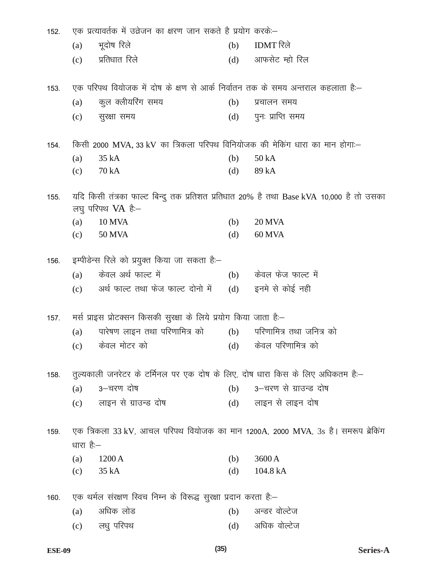| 152.                                                                                                                   | एक प्रत्यावर्तक में उव्रेजन का क्षरण जान सकते है प्रयोग करकें:--               |                                                                   |     |                                                                                  |  |
|------------------------------------------------------------------------------------------------------------------------|--------------------------------------------------------------------------------|-------------------------------------------------------------------|-----|----------------------------------------------------------------------------------|--|
|                                                                                                                        | (a)                                                                            | भूदोष रिले                                                        | (b) | IDMT रिले                                                                        |  |
|                                                                                                                        | (c)                                                                            | प्रतिधात रिले                                                     | (d) | आफसेट म्हो रिल                                                                   |  |
| 153.                                                                                                                   | एक परिपथ वियोजक में दोष के क्षण से आर्क निर्वातन तक के समय अन्तराल कहलाता है:– |                                                                   |     |                                                                                  |  |
|                                                                                                                        | (a)                                                                            | कुल क्लीयरिंग समय                                                 | (b) | प्रचालन समय                                                                      |  |
|                                                                                                                        | (c)                                                                            | सुरक्षा समय                                                       | (d) | पुनः प्राप्ति समय                                                                |  |
| 154.                                                                                                                   | किसी 2000 MVA, 33 kV का त्रिकला परिपथ विनियोजक की मेकिंग धारा का मान होगा:-    |                                                                   |     |                                                                                  |  |
|                                                                                                                        | (a)                                                                            | 35 kA                                                             | (b) | 50 kA                                                                            |  |
|                                                                                                                        | (c)                                                                            | 70 kA                                                             | (d) | 89 kA                                                                            |  |
| यदि किसी तंत्रका फाल्ट बिन्दु तक प्रतिशत प्रतिधात 20% है तथा Base kVA 10,000 है तो उसका<br>155.<br>लघु परिपथ $VA$ है:– |                                                                                |                                                                   |     |                                                                                  |  |
|                                                                                                                        | (a)                                                                            | <b>10 MVA</b>                                                     | (b) | <b>20 MVA</b>                                                                    |  |
|                                                                                                                        | (c)                                                                            | <b>50 MVA</b>                                                     | (d) | 60 MVA                                                                           |  |
| 156.                                                                                                                   | इम्पीडेन्स रिले को प्रयुक्त किया जा सकता है:–                                  |                                                                   |     |                                                                                  |  |
|                                                                                                                        | (a)                                                                            | केवल अर्थ फाल्ट में                                               |     | (b) केवल फेज फाल्ट में                                                           |  |
|                                                                                                                        | (c)                                                                            | अर्थ फाल्ट तथा फेज फाल्ट दोनो में                                 |     | (d) इनमे से कोई नही                                                              |  |
| 157.                                                                                                                   |                                                                                | मर्स प्राइस प्रोटक्सन किसकी सुरक्षा के लिये प्रयोग किया जाता है:- |     |                                                                                  |  |
|                                                                                                                        | (a)                                                                            | पारेषण लाइन तथा परिणामित्र को                                     | (b) | परिणामित्र तथा जनित्र को                                                         |  |
|                                                                                                                        | (c)                                                                            | केवल मोटर को                                                      |     | (d) केवल परिणामित्र को                                                           |  |
| 158.                                                                                                                   | तुल्यकाली जनरेटर के टर्मिनल पर एक दोष के लिए, दोष धारा किस के लिए अधिकतम है:–  |                                                                   |     |                                                                                  |  |
|                                                                                                                        | (a)                                                                            | 3–चरण दोष                                                         | (b) | 3-चरण से ग्राउन्ड दोष                                                            |  |
|                                                                                                                        |                                                                                | (c) लाइन से ग्राउन्ड दोष                                          | (d) | लाइन से लाइन दोष                                                                 |  |
| 159.                                                                                                                   |                                                                                |                                                                   |     | एक त्रिकला 33 kV, आचल परिपथ वियोजक का मान 1200A, 2000 MVA, 3s है। समरूप ब्रेकिंग |  |
|                                                                                                                        | धारा है:–                                                                      |                                                                   |     |                                                                                  |  |
|                                                                                                                        | (a)                                                                            | 1200 A                                                            | (b) | 3600 A                                                                           |  |
|                                                                                                                        | (c)                                                                            | 35 kA                                                             | (d) | 104.8 kA                                                                         |  |
| 160.                                                                                                                   |                                                                                | एक थर्मल संरक्षण स्विच निम्न के विरूद्ध सुरक्षा प्रदान करता है:-  |     |                                                                                  |  |
|                                                                                                                        | (a)                                                                            | अधिक लोड                                                          | (b) | अन्डर वोल्टेज                                                                    |  |
|                                                                                                                        | (c)                                                                            | लधु परिपथ                                                         | (d) | अधिक वोल्टेज                                                                     |  |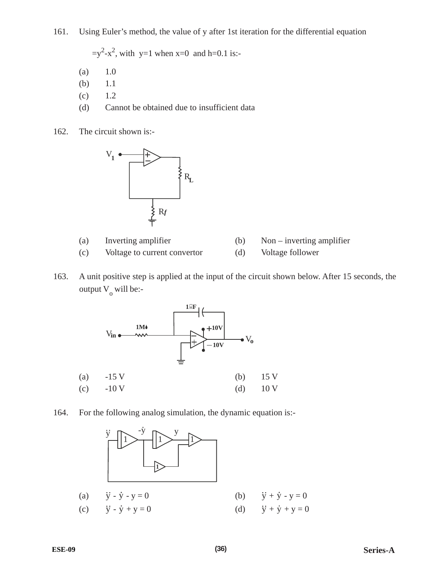161. Using Euler's method, the value of y after 1st iteration for the differential equation

 $=y^2-x^2$ , with y=1 when x=0 and h=0.1 is:-

- (a) 1.0
- (b) 1.1
- $(c)$  1.2
- (d) Cannot be obtained due to insufficient data
- 162. The circuit shown is:-



- (a) Inverting amplifier (b) Non inverting amplifier
- (c) Voltage to current convertor (d) Voltage follower
- 163. A unit positive step is applied at the input of the circuit shown below. After 15 seconds, the output  $V_0$  will be:-



164. For the following analog simulation, the dynamic equation is:-

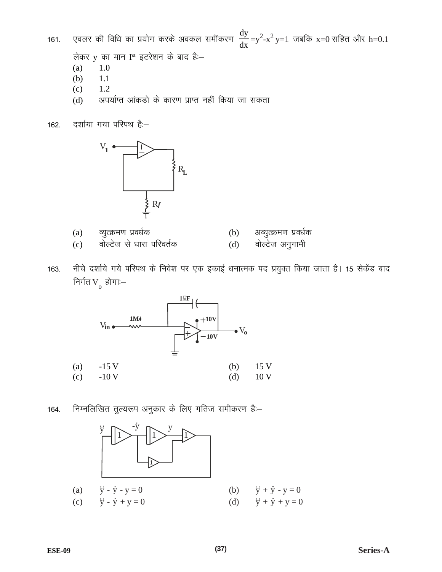एवलर की विधि का प्रयोग करके अवकल समींकरण  $\frac{dy}{dx} = y^2 - x^2 y = 1$  जबकि x=0 सहित और h=0.1 161.

लेकर y का मान I<sup>st</sup> इटरेशन के बाद हैं:-

- $(a)$ 1.0
- $(b)$ 1.1
- $(c)$ 1.2
- अपर्याप्त आंकडो के कारण प्राप्त नहीं किया जा सकता  $(d)$





- व्युत्क्रमण प्रवर्धक  $(a)$
- वोल्टेज से धारा परिवर्तक  $(c)$
- अव्युत्क्रमण प्रवर्धक  $(b)$
- वोल्टेज अनुगामी  $(d)$
- नीचे दर्शाये गये परिपथ के निवेश पर एक इकाई धनात्मक पद प्रयुक्त किया जाता है। 15 सेकेंड बाद 163. निर्गत $V_{o}$  होगाः $-$



निम्नलिखित तुल्यरूप अनुकार के लिए गतिज समीकरण हैं:-164.

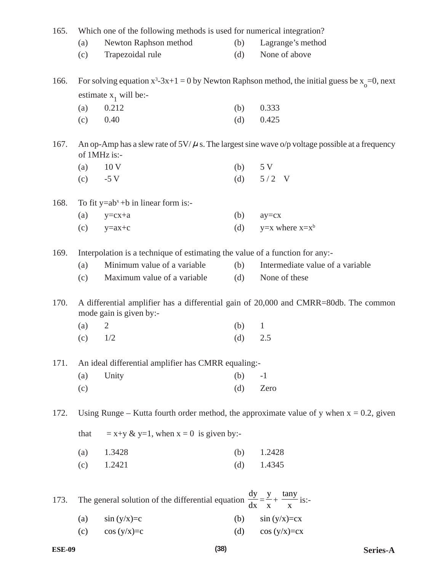| 165.<br>Which one of the following methods is used for numerical integration? |                                                                                                                    |                                                                                                         |     |                                                                                            |  |
|-------------------------------------------------------------------------------|--------------------------------------------------------------------------------------------------------------------|---------------------------------------------------------------------------------------------------------|-----|--------------------------------------------------------------------------------------------|--|
|                                                                               | (a)                                                                                                                | Newton Raphson method                                                                                   | (b) | Lagrange's method                                                                          |  |
|                                                                               | (c)                                                                                                                | Trapezoidal rule                                                                                        | (d) | None of above                                                                              |  |
| 166.                                                                          | For solving equation $x^3-3x+1=0$ by Newton Raphson method, the initial guess be $x_0=0$ , next                    |                                                                                                         |     |                                                                                            |  |
|                                                                               |                                                                                                                    | estimate $x_1$ will be:-                                                                                |     |                                                                                            |  |
|                                                                               | (a)                                                                                                                | 0.212                                                                                                   | (b) | 0.333                                                                                      |  |
|                                                                               | (c)                                                                                                                | 0.40                                                                                                    | (d) | 0.425                                                                                      |  |
| 167.                                                                          | An op-Amp has a slew rate of $5V/\mu$ s. The largest sine wave o/p voltage possible at a frequency<br>of 1MHz is:- |                                                                                                         |     |                                                                                            |  |
|                                                                               | (a)                                                                                                                | 10 <sub>V</sub>                                                                                         | (b) | 5 V                                                                                        |  |
|                                                                               | (c)                                                                                                                | $-5V$                                                                                                   | (d) | $5/2$ V                                                                                    |  |
| 168.                                                                          | To fit $y=ab^x+b$ in linear form is:-                                                                              |                                                                                                         |     |                                                                                            |  |
|                                                                               | (a)                                                                                                                | $y=cx+a$                                                                                                | (b) | $ay=cx$                                                                                    |  |
|                                                                               | (c)                                                                                                                | $y=ax+c$                                                                                                | (d) | $y=x$ where $x=x^b$                                                                        |  |
| 169.                                                                          | Interpolation is a technique of estimating the value of a function for any:-                                       |                                                                                                         |     |                                                                                            |  |
|                                                                               | (a)                                                                                                                | Minimum value of a variable                                                                             | (b) | Intermediate value of a variable                                                           |  |
|                                                                               | (c)                                                                                                                | Maximum value of a variable                                                                             | (d) | None of these                                                                              |  |
| 170.                                                                          | A differential amplifier has a differential gain of 20,000 and CMRR=80db. The common<br>mode gain is given by:-    |                                                                                                         |     |                                                                                            |  |
|                                                                               | (a)                                                                                                                | $\overline{2}$                                                                                          | (b) | $\mathbf{1}$                                                                               |  |
|                                                                               | (c)                                                                                                                | 1/2                                                                                                     | (d) | 2.5                                                                                        |  |
| 171.                                                                          | An ideal differential amplifier has CMRR equaling:-                                                                |                                                                                                         |     |                                                                                            |  |
|                                                                               | (a)                                                                                                                | Unity                                                                                                   | (b) | $-1$                                                                                       |  |
|                                                                               | (c)                                                                                                                |                                                                                                         | (d) | Zero                                                                                       |  |
| 172.                                                                          |                                                                                                                    |                                                                                                         |     | Using Runge – Kutta fourth order method, the approximate value of y when $x = 0.2$ , given |  |
|                                                                               | that<br>$= x+y \& y=1$ , when $x = 0$ is given by:-                                                                |                                                                                                         |     |                                                                                            |  |
|                                                                               | (a)                                                                                                                | 1.3428                                                                                                  | (b) | 1.2428                                                                                     |  |
|                                                                               | (c)                                                                                                                | 1.2421                                                                                                  | (d) | 1.4345                                                                                     |  |
| 173.                                                                          |                                                                                                                    | The general solution of the differential equation $\frac{dy}{dx} = \frac{y}{x} + \frac{\tan y}{x}$ is:- |     |                                                                                            |  |
|                                                                               |                                                                                                                    |                                                                                                         |     |                                                                                            |  |
|                                                                               | (a)                                                                                                                | $\sin(y/x)=c$                                                                                           | (b) | $\sin(y/x)=cx$                                                                             |  |
|                                                                               | (c)                                                                                                                | $cos(y/x)=c$                                                                                            | (d) | $cos(y/x)=cx$                                                                              |  |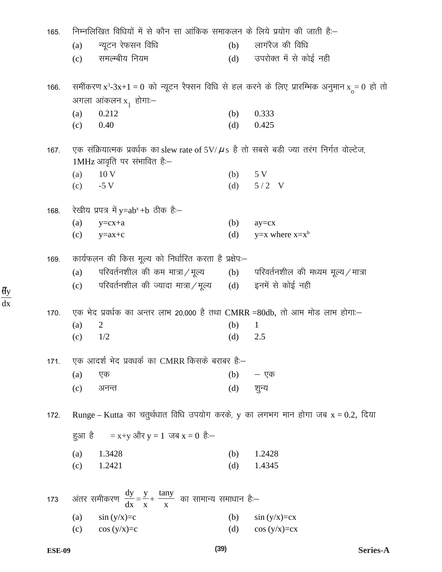| 165. |                                                                                     | निम्नलिखित विधियों में से कौन सा आंकिक समाकलन के लिये प्रयोग की जाती है:–                                                    |     |                        |  |  |  |
|------|-------------------------------------------------------------------------------------|------------------------------------------------------------------------------------------------------------------------------|-----|------------------------|--|--|--|
|      | (a)                                                                                 | न्यूटन रेफसन विधि                                                                                                            | (b) | लागरैज की विधि         |  |  |  |
|      | (c)                                                                                 | समल्म्बीय नियम                                                                                                               | (d) | उपरोक्त में से कोई नही |  |  |  |
| 166. |                                                                                     | समींकरण x <sup>3</sup> -3x+1 = 0 को न्यूटन रैफ्सन विधि से हल करने के लिए प्रारम्भिक अनुमान x = 0 हो तो                       |     |                        |  |  |  |
|      |                                                                                     | अगला आंकलन x <sub>1</sub> होगा:—                                                                                             |     |                        |  |  |  |
|      | (a)                                                                                 | 0.212                                                                                                                        | (b) | 0.333                  |  |  |  |
|      | (c)                                                                                 | 0.40                                                                                                                         | (d) | 0.425                  |  |  |  |
| 167. |                                                                                     | एक संक्रियात्मक प्रवर्धक का slew rate of 5V/ $\mu$ s है तो सबसे बड़ी ज्या तरंग निर्गत वोल्टेज,<br>1MHz आवृति पर संभावित है:- |     |                        |  |  |  |
|      | (a)                                                                                 | 10 <sub>V</sub>                                                                                                              |     | $(b)$ 5 V              |  |  |  |
|      | (c)                                                                                 | $-5V$                                                                                                                        |     | (d) $5/2$ V            |  |  |  |
| 168. |                                                                                     | रेखीय प्रपत्र में y=ab <sup>x</sup> +b ठीक हैं:—                                                                             |     |                        |  |  |  |
|      | (a)                                                                                 | $y=cx+a$                                                                                                                     | (b) | $ay=cx$                |  |  |  |
|      | (c)                                                                                 | $y=ax+c$                                                                                                                     | (d) | $y=x$ where $x=x^b$    |  |  |  |
| 169. | कार्यफलन की किस मूल्य को निर्धारित करता है प्रक्षेप:–                               |                                                                                                                              |     |                        |  |  |  |
|      | (a)                                                                                 | परिवर्तनशील की कम मात्रा $/$ मूल्य $\qquad$ (b) परिवर्तनशील की मध्यम मूल्य $/$ मात्रा                                        |     |                        |  |  |  |
|      | (c)                                                                                 | परिवर्तनशील की ज्यादा मात्रा $/$ मूल्य $\qquad$ (d)                                                                          |     | इनमें से कोई नही       |  |  |  |
| 170. |                                                                                     | एक भेद प्रवर्धक का अन्तर लाभ 20,000 है तथा CMRR =80db, तो आम मोड लाभ होगा:-                                                  |     |                        |  |  |  |
|      | (a)                                                                                 | 2                                                                                                                            | (b) | $\mathbf{1}$           |  |  |  |
|      | (c)                                                                                 | 1/2                                                                                                                          | (d) | 2.5                    |  |  |  |
| 171. | एक आदर्श भेद प्रवधर्क का CMRR किसके बराबर है:–                                      |                                                                                                                              |     |                        |  |  |  |
|      | (a)                                                                                 | एक                                                                                                                           | (b) | — एक                   |  |  |  |
|      | (c)                                                                                 | अनन्त                                                                                                                        | (d) | शुन्य                  |  |  |  |
| 172. | Runge – Kutta का चतुर्थधात विधि उपयोग करके, y का लगभग मान होगा जब $x = 0.2$ , दिया  |                                                                                                                              |     |                        |  |  |  |
|      |                                                                                     | हुआ है = x+y और y = 1 जब x = 0 है:-                                                                                          |     |                        |  |  |  |
|      | (a)                                                                                 | 1.3428                                                                                                                       | (b) | 1.2428                 |  |  |  |
|      | (c)                                                                                 | 1.2421                                                                                                                       | (d) | 1.4345                 |  |  |  |
|      |                                                                                     |                                                                                                                              |     |                        |  |  |  |
| 173  | अंतर समीकरण $\frac{dy}{dx} = \frac{y}{x} + \frac{\tan y}{x}$ का सामान्य समाधान है:– |                                                                                                                              |     |                        |  |  |  |
|      | (a)                                                                                 | $\sin(y/x)=c$                                                                                                                | (b) | $\sin(y/x)=cx$         |  |  |  |
|      | (c)                                                                                 | $cos(y/x)=c$                                                                                                                 | (d) | $cos(y/x)=cx$          |  |  |  |

 $\frac{dy}{dx}$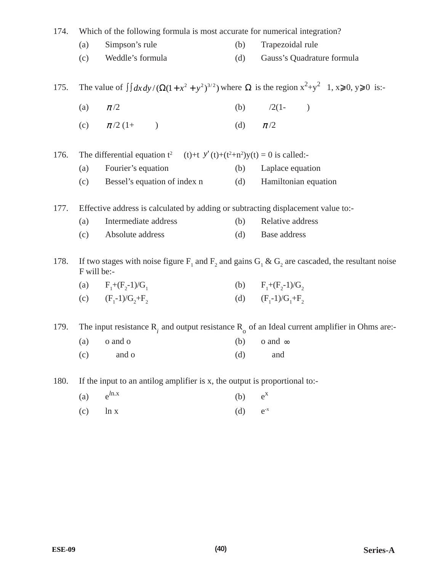| 174.                                                                                                                                                                 | Which of the following formula is most accurate for numerical integration?                                                       |                                                                               |     |                            |  |
|----------------------------------------------------------------------------------------------------------------------------------------------------------------------|----------------------------------------------------------------------------------------------------------------------------------|-------------------------------------------------------------------------------|-----|----------------------------|--|
|                                                                                                                                                                      | (a)                                                                                                                              | Simpson's rule                                                                | (b) | Trapezoidal rule           |  |
|                                                                                                                                                                      | (c)                                                                                                                              | Weddle's formula                                                              | (d) | Gauss's Quadrature formula |  |
| 175.                                                                                                                                                                 | The value of $\int dx dy / (\Omega(1 + x^2 + y^2)^{3/2})$ where $\Omega$ is the region $x^2 + y^2$ 1, $x \ge 0$ , $y \ge 0$ is:- |                                                                               |     |                            |  |
|                                                                                                                                                                      | (a)                                                                                                                              | $\pi/2$                                                                       |     | (b) $/2(1-$                |  |
|                                                                                                                                                                      |                                                                                                                                  | (c) $\pi/2(1+)$                                                               | (d) | $\pi/2$                    |  |
| 176.                                                                                                                                                                 | The differential equation $t^2$ (t)+t $y'(t)+(t^2+n^2)y(t) = 0$ is called:-                                                      |                                                                               |     |                            |  |
|                                                                                                                                                                      | (a)                                                                                                                              | Fourier's equation                                                            |     | (b) Laplace equation       |  |
|                                                                                                                                                                      | (c)                                                                                                                              | Bessel's equation of index n                                                  | (d) | Hamiltonian equation       |  |
| 177.                                                                                                                                                                 | Effective address is calculated by adding or subtracting displacement value to:-                                                 |                                                                               |     |                            |  |
|                                                                                                                                                                      | (a)                                                                                                                              | Intermediate address                                                          | (b) | Relative address           |  |
|                                                                                                                                                                      | (c)                                                                                                                              | Absolute address                                                              | (d) | Base address               |  |
| If two stages with noise figure F <sub>1</sub> and F <sub>2</sub> and gains G <sub>1</sub> & G <sub>2</sub> are cascaded, the resultant noise<br>178.<br>F will be:- |                                                                                                                                  |                                                                               |     |                            |  |
|                                                                                                                                                                      |                                                                                                                                  | (a) $F_1+(F_2-1)/G_1$                                                         |     | (b) $F_1+(F_2-1)/G_2$      |  |
|                                                                                                                                                                      |                                                                                                                                  | (c) $(F_1-1)/G_2+F_2$                                                         |     | (d) $(F_i-1)/G_i+F_i$      |  |
| The input resistance $R_i$ and output resistance $R_o$ of an Ideal current amplifier in Ohms are:-<br>179.                                                           |                                                                                                                                  |                                                                               |     |                            |  |
|                                                                                                                                                                      |                                                                                                                                  | $(b)$ o and $\infty$<br>$(a)$ o and o                                         |     |                            |  |
|                                                                                                                                                                      | (c)                                                                                                                              | and o                                                                         | (d) | and                        |  |
| 180.                                                                                                                                                                 |                                                                                                                                  | If the input to an antilog amplifier is $x$ , the output is proportional to:- |     |                            |  |
|                                                                                                                                                                      | (a)                                                                                                                              | $e^{ln.x}$                                                                    | (b) | $e^{X}$                    |  |
|                                                                                                                                                                      |                                                                                                                                  |                                                                               |     | $\mathrm{e}^{\text{-x}}$   |  |
|                                                                                                                                                                      | (c)                                                                                                                              | ln x                                                                          | (d) |                            |  |
|                                                                                                                                                                      |                                                                                                                                  |                                                                               |     |                            |  |